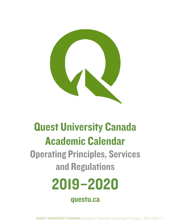

# Quest University Canada Academic Calendar

Operating Principles, Services and Regulations

# 2019–2020

questu.ca

QUEST UNIVERSITY CANADA Academic Calendar Operating Principles, 2019-2020 / 1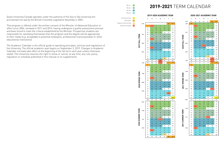Quest University Canada operates under the authority of the Sea to Sky University Act proclaimed into law by the British Columbia Legislative Assembly in 2002.

This program is offered under the written consent of the Minister of Advanced Education in effect since 2006, renewed in 2011 and 2016, having undergone a quality assessment process and been found to meet the criteria established by the Minister. Prospective students are responsible for satisfying themselves that the program and the degree will be appropriate to their needs (e.g. acceptable to potential employers, professional licensing bodies or other educational institutions).

The Academic Calendar is the official guide to operating principles, services and regulations of the University. The official academic year begins on September 3, 2019. Changes in Academic Calendar normally take effect at the beginning of the fall term each year unless otherwise stated. The University reserves the right to revise or cancel, at any time, any rule, policy, regulation or schedule published in this manual or its supplements.



# **2019-2021** TERM CALENDAR

|                  |            | s                        | м                       | т                       | w                       | Т            | F              | s  |
|------------------|------------|--------------------------|-------------------------|-------------------------|-------------------------|--------------|----------------|----|
|                  | AUG        | 23                       | 24                      | 25                      | 26                      | 27           | 28             | 29 |
|                  | <b>SEP</b> | 30                       | 31                      | $\mathbf{1}$            | $\overline{\mathbf{c}}$ | 3            | 4              | 5  |
|                  |            | 6                        | 7                       | 8                       | 9                       | 10           | 11             | 12 |
|                  |            | 13                       | 14                      | 15                      | 16                      | 17           | 18             | 19 |
|                  |            | 20                       | 21                      | 22                      | 23                      | 24           | 25             | 26 |
|                  | OCT        | 27                       | 28                      | 29                      | 30                      | $\mathbf{1}$ | $\overline{2}$ | 3  |
|                  |            | 4                        | 5                       | $\boldsymbol{6}$        | $\overline{7}$          | 8            | 9              | 10 |
|                  |            | 11                       | 12                      | 13                      | 14                      | 15           | 16             | 17 |
|                  |            | 18                       | 19                      | 20                      | 21                      | 22           | 23             | 24 |
|                  |            | 25                       | 26                      | 27                      | 28                      | 29           | 30             | 31 |
|                  | NOV        | 1                        | $\overline{\mathbf{c}}$ | 3                       | 4                       | 5            | 6              | 7  |
| 2020 FALL TERM   |            | 8                        | 9                       | 10                      | 11                      | 12           | 13             | 14 |
|                  |            | 15                       | 16                      | 17                      | 18                      | 19           | 20             | 21 |
|                  |            | 22                       | 23                      | 24                      | 25                      | 26           | 27             | 28 |
|                  | DEC        | 29                       | 30                      | 1                       | $\overline{\mathbf{c}}$ | 3            | 4              | 5  |
|                  |            | 6                        | 7                       | 8                       | 9                       | 10           | 11             | 12 |
|                  |            | 13                       | 14                      | 15                      | 16                      | 17           | 18             | 19 |
|                  |            | 20                       | 21                      | 22                      | 23                      | 24           | 25             | 26 |
|                  | <b>JAN</b> | 27                       | 28                      | 29                      | 30                      | 31           | 1              | 2  |
|                  |            | 3                        | 4                       | 5                       | 6                       | 7            | 8              | 9  |
|                  |            | 10                       | 11                      | 12                      | 13                      | 14           | 15             | 16 |
|                  |            | 17                       | 18                      | 19                      | 20                      | 21           | 22             | 23 |
|                  |            | 24                       | 25                      | 26                      | 27                      | 28           | 29             | 30 |
|                  | FEB        | 31                       | 1                       | $\overline{\mathbf{c}}$ | 3                       | 4            | 5              | 6  |
| Σ                |            | 7                        | 8                       | 9                       | 10                      | 11           | 12             | 13 |
|                  |            | 14                       | 15                      | 16                      | 17                      | 18           | 19             | 20 |
|                  |            | 21                       | 22                      | 23                      | 24                      | 25           | 26             | 27 |
| 2021 SPRING TERI | MAR        | 28                       | $\mathbf{1}$            | $\overline{2}$          | 3                       | 4            | 5              | 6  |
|                  |            | 7                        | 8                       | 9                       | 10                      | 11           | 12             | 13 |
|                  |            | 14                       | 15                      | 16                      | 17                      | 18           | 19             | 20 |
|                  |            | 21                       | 22                      | 23                      | 24                      | 25           | 26             | 27 |
|                  | <b>APR</b> | 28                       | 29                      | 30                      | 31                      | 1            | $\overline{2}$ | з  |
|                  |            | 4                        | 5                       | 6                       | $\boldsymbol{7}$        | 8            | 9              | 10 |
|                  |            | 11                       | 12                      | 13                      | 14                      | 15           | 16             | 17 |
|                  |            | 18                       | 19                      | 20                      | 21                      | 22           | 23             | 24 |
|                  |            | 25                       | 26                      | 27                      | 28                      | 29           | 30             | 1  |
|                  | MA۱        | $\overline{\phantom{a}}$ | 3                       | 7.                      | 5                       |              | 7              | 8  |
|                  |            | 9                        | 10                      | 11                      | 12                      | 13           | 14             | 15 |
|                  |            | 16                       | 17                      | 18                      | 19                      | 20           | 21             | 22 |
|                  |            | 23                       | 24                      | 25                      | 26                      | 27           | 28             | 29 |
|                  | <b>JUN</b> | 30                       | 31                      | $\mathbf{1}$            | $\overline{2}$          | з            | 4              | 5  |
|                  |            | 6                        | $\overline{7}$          | 8                       | 9                       | 10           | 11             | 12 |
|                  |            | 13                       | 14                      | 15                      | 16                      | 17           | 18             | 19 |
|                  |            | 20                       | 21                      | 22                      | 23                      | 24           | 25             | 26 |
|                  | JUL        | 27                       | 28                      | 29                      | 30                      | $\mathbf{1}$ | 2              | з  |
| 2021 SUMMER TERM |            | 4                        | $5\phantom{.0}$         | $\boldsymbol{6}$        | $\overline{7}$          | 8            | 9              | 10 |
|                  |            | 11                       | 12                      | 13                      | 14                      | 15           | 16             | 17 |
|                  |            | 18                       | 19                      | 20                      | 21                      | 22           | 23             | 24 |
|                  |            | 25                       | 26                      | 27                      | 28                      | 29           | 30             | 31 |
|                  | <b>AUG</b> | $\mathbf{1}$             | $\overline{2}$          | 3                       | 4                       | 5            | 6              | 7  |
|                  |            | 8                        | 9                       | 10                      | 11                      | 12           | 13             | 14 |
|                  |            | 15                       | 16                      | 17                      | 18                      | 19           | 20             | 21 |
|                  |            | 22                       | 23                      | 24                      | 25                      | 26           | 27             | 28 |

#### **2019-2020 ACADEMIC YEAR 2020-2021 ACADEMIC YEAR**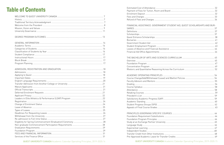# **Table of Contents**

| Estimated Cost of Attendance          |
|---------------------------------------|
| Payment of Fees for Tuition, Room and |
| Enrolment Deposit                     |
|                                       |
| Refund of Fees and Charges            |

| FINANCIAL ASSISTANCE: GOVERNME        |
|---------------------------------------|
|                                       |
|                                       |
|                                       |
| Quest Entrance Scholarships           |
|                                       |
| Government Student Aid                |
| Student Employment Program            |
| Leaves of Absence and Financial Assis |
| Financial Aid Office Appointments     |
|                                       |

| THE BACHELOR OF ARTS AND SCIENC        |
|----------------------------------------|
|                                        |
| Foundation Program                     |
| Concentration Program                  |
| Rhetoric and Quantitative Reasoning Ac |

#### ACADEMIC OPERAT

| Course Change/Add/Withdrawal (Leave   |
|---------------------------------------|
| Faculty Advisors and Mentors          |
|                                       |
|                                       |
|                                       |
|                                       |
|                                       |
| Satisfactory Academic Progress (SAP). |
| Academic Standing                     |
| Student Progress Groups (SPG)         |
| Appeals of Final Course Grades        |
|                                       |

| FINANCIAL ASSISTANCE: GOVERNMENT STUDENT AID, QUEST SCHOLARSHIPS AND BUR- |    |
|---------------------------------------------------------------------------|----|
|                                                                           |    |
|                                                                           |    |
|                                                                           |    |
|                                                                           |    |
|                                                                           |    |
|                                                                           |    |
|                                                                           |    |
|                                                                           |    |
|                                                                           |    |
|                                                                           |    |
|                                                                           |    |
|                                                                           |    |
|                                                                           |    |
|                                                                           |    |
|                                                                           |    |
|                                                                           |    |
|                                                                           |    |
|                                                                           |    |
| Course Syllabus                                                           | 58 |
|                                                                           |    |
|                                                                           |    |
|                                                                           |    |
|                                                                           |    |
|                                                                           |    |
|                                                                           |    |
|                                                                           |    |
|                                                                           |    |
|                                                                           |    |
|                                                                           |    |
|                                                                           |    |
|                                                                           |    |
|                                                                           |    |
|                                                                           |    |
|                                                                           |    |
|                                                                           |    |

**QUEST UNIVERSITY CANADA Academic Calendar Operating Principles, 2019-2020 / 5**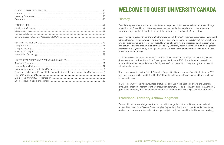| Notice of Disclosure of Personal Information to Citizenship and Immigration Canada  81 |  |
|----------------------------------------------------------------------------------------|--|
|                                                                                        |  |
|                                                                                        |  |
|                                                                                        |  |

# WELCOME TO QUEST UNIVERSITY CANADA

# **History**

Canada is a place where history and tradition are respected, but where experimentation and change are embraced. Quest University Canada serves as the standard of excellence in creating new and innovative ways to educate students to meet the emerging demands of the 21st century.

Quest was spearheaded by Dr. David W. Strangway, one of the most renowned educators, scholars and administrators of his generation. The planning for this new independent, secular, not-for-profit liberal arts and sciences university took a decade. His vision of an innovative undergraduate university was first actualized by the proclamation of the Sea to Sky University Act in the British Columbia Legislative Assembly in 2002, followed by the acquisition of a 240-acre parcel of land in the Garibaldi Highlands area of Squamish in 2003.

With a newly constructed \$100 million state-of-the-art campus and a unique curriculum based on the one course at a time Block Plan, Quest opened its doors in 2007. Since then the University has expanded the size of its student body, faculty and staff, to create a truly invigorating and innovative educational experience.

Quest was accredited by the British Columbia Degree Quality Assessment Board in September 2006 and was renewed in 2011 and 2016. The DQAB has the sole legal authority to accredit universities in British Columbia.

In September 2007, the inaugural class of students enrolled in the Bachelor of Arts and Sciences (BA&Sc) Foundation Program. Our first graduation ceremony took place in April 2011. The April 2018 graduation ceremony marked a milestone in that alumni numbers now surpass student numbers.

# Traditional Territory Acknowledgment

We would like to acknowledge that the land on which we gather is the traditional, ancestral and unceded territory of the Skwxwú7mesh peoples (Squamish). Quest sits on the Squamish traditional territory, and we are grateful to have the opportunity to work, learn and live in this blessed territory.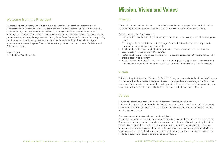

# Welcome from the President

Welcome to Quest University Canada. This is our calendar for the upcoming academic year. It represents vital knowledge about our University and how we are governed. I thank our many valued staff and faculty who contributed to this edition. I am sure you will find it a valuable resource in planning your academic year at Quest. If you are considering our University as your choice to continue your education, I sincerely hope you will decide to join us. Quest is unique. Our dedication to supporting your intellectual pursuits and passions, one course at a time in the Block Plan, will make your experience here a rewarding one. Please visit us, and experience what the contents of this Academic Calendar represent.

George Iwama President and Vice-Chancellor

# Mission, Vision and Values

## Mission

Our mission is to transform how our students think, question and engage with the world through a revolutionary educational model that sparks personal growth and intellectual development.

To fulfill this mission, Quest seeks to:

• Inspire curious minds to develop their own questions in response to complex problems and global

• Encourage independent thinkers to take charge of their education through active, experiential

- issues
- learning and a personalized course of study
- Teach intellectually daring students to integrate ideas across disciplines and cultures in an academically rigorous, intensive Block system
- share a passion for discovery
- 

• Foster collaborative communities among a select group of diverse, international individuals, who

• Equip compassionate graduates to make a meaningful impact on people's lives, the environment, and society through ethical engagement and the communication of evidence-based knowledge

# Vision

Guided by the principles of our Founder, Dr. David W. Strangway, our students, faculty and staff pursue knowledge without boundaries; investigate different cultures and ways of knowing; strive for a more environmentally sustainable and equitable world; practice informed, evidence-based questioning; and embark on a shared quest to exemplify the future of undergraduate learning in Canada.

# Values

Exploration without boundaries in a uniquely designed learning environment. Our revolutionary curriculum, intentionally designed campus, world-class faculty and staff, dynamic student life structures, and diverse social communities encourage interactions between ideas and people who love to learn.

Empowerment of all to take risks and continually learn. The ability to experiment and learn from failure in a safer space builds competence and confidence. Students are challenged to think broadly and consider multiple ways of knowing, as they delve into complex issues through research and present arguments cogently using sophisticated rhetorical means and quantitative reasoning. In addition, the academic and co-curricular programs build the emotional resilience, social skills, and awareness of global and environmental issues necessary for students to pursue productive lives and a sustainable future.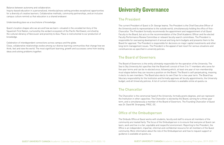Balance between autonomy and collaboration.

Inquiry-based education in a personalized, interdisciplinary setting provides exceptional opportunities for a diversity of creative learners. Collaborative methods, community partnerships, and an inclusive campus culture remind us that education is a shared endeavor.

Understanding place as a touchstone of knowledge.

Quest's location shapes who we are and how we learn—situated in the unceded territory of the Squamish First Nation, nurtured by the verdant ecosystem of the Pacific Northwest, enriched by the cultural vibrancy of Vancouver and proximity to Asia. Place is instrumental to our production of knowledge.

Celebration of interdependent connections across campus and the globe.

Close, collaborative relationships evolve among our diverse learning communities that change how we think, feel and view the world. The most significant learning, growth and successes come from testing ideas and solving problems together.

# University Governance

# The President

The current President of Quest is Dr. George Iwama. The President is the Chief Executive Officer of the University and its representative to the outside world, simultaneously holding the office of Vice-Chancellor. The President formally recommends the appointment and reappointment of all Quest Faculty to the Board, but acts on the recommendation of the Chief Academic Officer and the elected Faculty Performance Review Committee or relevant faculty search committees. The President is responsible for overseeing development of annual and long-term budgets and presents them to the Board for approval. The President is responsible for decisions on major capital investments and other long-term management issues. The President is the appeal of last resort for various situations and constituencies as specified in university policies.

# The Board of Governors

The Board of Governors is the entity ultimately responsible for the operation of the University. The Sea to Sky University Act specifies that the Board will consist of from 3 to 11 members who serve for five-year terms and can be re-elected once; following which, at least one year of non-membership must elapse before they can resume a position on the Board. The Board is self-perpetuating, meaning it elects its own members. The Board also elects its own Chair for a two-year term. The Board has fiduciary responsibility for the Institution and formally approves all faculty appointments, the University budget, and all University policies. A list of current members is available online at questu.ca.

# The Chancellor

The Chancellor is the ceremonial head of the University, formally grants degrees, and can represent the Institution in other capacities. The Chancellor is elected by the Board, serving for a three-year term, and is simultaneously a member of the Board of Governors. The Founding Chancellor of Quest was Dr. David W. Strangway, FRSC, OC.

# Office of the Ombudsperson

The Ombuds Office at Quest works with students, faculty and staff to ensure all members of the community are treated fairly. The focus of the Ombudsperson is to ensure that everyone at Quest can learn, work and live in a fair, equitable and respectful environment. Reporting to the President, the Office is an independent, impartial, informal and confidential resource for all members of the Quest community. More information about the role of the Ombudsperson and how to request support or guidance is available at questu.ca.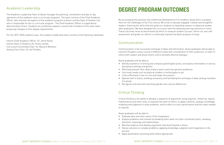# Academic Leadership

The Academic Leadership Team at Quest manages the planning, coordination and day-to-day operations of the academic and co-curricular programs. The team consists of the Chief Academic Officer, who oversees all aspects of the academic program at Quest, and the Dean of Student Life, who is responsible for the co-curricular program. The Chief Academic Officer is supported by Administrative Chairs. Students are sometimes asked to consult with members of this team when proposing changes to their degree requirements.

For the 2019–2020 academic year, the academic leadership team consists of the following individuals:

Interim Chief Academic Officer: Dr. Jamie Kemp Interim Dean of Student Life: Krista Lambie Curriculum Committee Chair: Dr. Marjorie Wonham Visiting Tutor Chair: Dr. Ian Picketts

# DEGREE PROGRAM OUTCOMES

By encouraging the personal and intellectual development of its students, Quest aims to prepare them for the challenges of the 21st century. We strive to educate engaged, creative and thoughtful leaders, fostering the skills that will guide our students to rewarding careers or advanced studies after graduation. We have designed the curriculum with the following learning outcomes in mind. These outcomes serve as benchmarks by which to measure student success, inform our own selfassessment and guide our efforts to continually improve the Quest program of study.

# Communication

Communication is the successful exchange of ideas and information. Quest graduates will be able to transmit thoughts using a variety of different media with consideration of their audiences; to listen to others with respect and discernment; and to facilitate effective dialogue.

Quest graduates will be able to:

• Identify excellence in writing and compose good English prose, and express themselves in various

- disciplinary settings and genres
- Effectively present their ideas orally to peers and more general audiences
- Use visual media such as physical models or technologies to aid
- Listen effectively in one-on-one and larger discussions
- Operate well in teams, building consensus and facilitating the exchange of ideas among members of a group
- Recognize and treat with sensitivity gender and cultural differences

# Critical Thinking

Critical thinking is the ability to develop a sequence of arguments using linguistic, rhetorical, logical, mathematical and other tools; to evaluate the work of others; to apply creativity, analogy, knowledge, modeling and judgment to solve problems; and to reflect on one's performance and the steps needed to improve.

Quest graduates will be able to:

• Analyze problems and contexts by breaking them down into their constituent parts, revealing

- Evaluate texts and other works of the imagination
- elements, meanings and relationships
- Marshal evidence and develop arguments that build towards a thesis
- Devise solutions to complex problems, applying knowledge, judgment and imagination in the process
- Apply quantitative reasoning skills where appropriate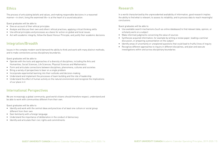# **Ethics**

The process of articulating beliefs and values, and making responsible decisions in a reasoned manner—in short, living the examined life—is at the heart of a sound education.

Quest graduates will be able to:

- Give an account of their ethical principles
- Analyze and discuss their own and others' ethical practices, applying critical thinking skills
- Use ethical principles and processes as a basis for action on global and local issues
- Act with academic integrity, follow the Quest Honour Principle, and justify their academic decisions

# Integration/Breadth

Issues in the complex modern world demand the ability to think and work with many distinct methods; and to make connections across disciplinary boundaries.

Quest graduates will be able to:

- Operate with the tools and approaches of a diversity of disciplines, including the Arts and Humanities, Social Sciences, Life Sciences, Physical Sciences and Mathematics
- Form and articulate connections between disciplines, phenomena, cultures and societies
- Bring a variety of perspectives to bear on a single problem
- Incorporate experiential learning into their outlooks and decision-making
- Understand and implement the processes of team building and the role of leadership
- Understand the effect of human activity on the natural environment and recognize the implications of our place in it

# International Perspectives

We are increasingly a global community; good world citizens should therefore respect, understand and be able to work with communities different from their own.

Quest graduates will be able to:

- Identify and work with the central ideas and practices of at least one culture or social group different from their own
- Gain familiarity with a foreign language
- Understand the importance of deliberation in the conduct of democracy
- Identify and articulate their civic rights and commitments

### Research

In a world characterized by the unprecedented availability of information, good research implies the ability to find what is relevant; to assess its reliability; and to process data to reach meaningful conclusions.

Quest graduates will be able to:

• Use available search mechanisms (such as online databases) to find relevant data, opinion, or

- scholarly work on a subject
- Make informed judgments concerning the value of sources
- Synthesize acquired information, for example by writing a review paper, leading a seminar discussion, or preparing a presentation on the subject
- Identify areas of uncertainty or unexplored questions that could lead to fruitful lines of inquiry
- Recognize different approaches to inquiry in different disciplines, and plan and execute investigations within and across disciplinary boundaries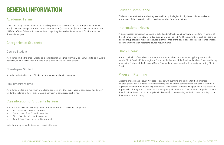# GENERAL INFORMATION

# Academic Terms

Quest University Canada offers a fall term (September to December) and a spring term (January to April), each consisting of 4 Blocks, and a summer term (May to August) of 2 or 3 Blocks. Refer to the 2019–2020 Term Calendar for further detail regarding the precise dates for each Block and term for the academic year.

# Categories of Students

#### Degree Student

A student admitted to credit Blocks as a candidate for a degree. Normally, each student takes 4 Blocks per term, and not fewer than 3 Blocks to be classified as a full-time student.

- First Year: 0 to 7 credits awarded
- Second Year: 8 to 15 credits awarded
- Third Year: 16 to 23 credits awarded
- Fourth Year: 24 or more credits awarded

#### Non-degree Student

A student admitted to credit Blocks, but not as a candidate for a degree.

#### Full-time/Part-time

A student enrolled in a minimum of 3 Blocks per term or 6 Blocks per year is considered full-time. A student registered in fewer than 3 Blocks per term is considered part-time.

# Classification of Students by Year

Students are classified according to the number of Blocks successfully completed:

Note: Non-degree students are not classified by year.

# Student Compliance

While enrolled at Quest, a student agrees to abide by the legislation, by-laws, policies, codes and procedures of the University, which may be amended from time to time.

# Instructional Hours

A Block typically consists of 54 hours of scheduled instruction and normally meets for a minimum of three hours per day, Monday to Friday, over a 3.5-week period. Additional activities, such as field trips, labs or group projects, may be scheduled at other times of the day. Please consult the course syllabus for further information regarding course requirements.

### Block Break

At the conclusion of each Block, students are granted a break from studies, typically four days in length. Block Break officially begins at 5 p.m. on the last day of the Block and ends at 5 p.m. on the day prior to the first day of the following Block. No mandatory coursework will be assigned during Block Break.

# Program Planning

Students are assigned Faculty Advisors to assist with planning and to monitor their progress towards graduation. Students are ultimately responsible for the completeness and accuracy of their registration and for fulfilling the requirements of their degree. Students who plan to enter a graduate or professional program at another institution upon graduation from Quest are encouraged to consult their Faculty Advisor and the appropriate individual(s) at the receiving institution to ensure they meet the requirements for entry.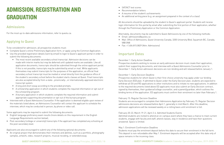# ADMISSION, REGISTRATION AND **GRADUATION**

# Admissions

For the most up-to-date admissions information, refer to questu.ca.

# Applying to Quest

To be considered for admission, all prospective students must:

- Complete Quest's online Preliminary Application form, or apply using the Common Application.
- Use the provided registration details (sent by email) to login to Quest's applicant portal in order to submit the following documents:
	- The most recent available secondary school transcript. Admission decisions can be made with interim marks but may be deferred until updated marks are available. Like all application documents, transcripts should be submitted through the online applicant portal. If this is not possible, transcripts may be submitted by email or mail. While applicants themselves may submit transcripts for the purposes of the application, an official final secondary school transcript must be mailed or email directly from the guidance office of the student's secondary school before the student starts classes at Quest. Final transcripts are also accepted directly from a state-, provincially-, or internationally-approved electronic transcript system.
	- A long and short essay according to the provided prompts.
	- A scholarship application in which students complete the required information or opt-out of the scholarship program.
	- A bursary application in which students complete the required information and submit appropriate supporting documentation or opt-out of the bursary program.
- Interview with a Quest Admissions Counsellor. If the application is deemed eligible upon review of the materials listed above, an Admissions Counsellor will contact the applicant to schedule the interview, which may be conducted in person, by phone or video call.

Some applicants may be required to submit the following documents:

- English language proficiency exam results (more details on this requirement in the English Language Requirements section below);
- Post-secondary (college or university) transcripts if the applicant has completed any schooling at the post-secondary level.

Applicants are also encouraged to submit any of the following optional documents:

- An original project that demonstrates their interests and abilities, such as a portfolio, photography samples, artwork, video, research projects, musical recoding, or extended essay
	-
- SAT/ACT test scores
- Recommendation letters
- A resume of the student's achievements
- An additional writing piece (e.g. an assignment prepared in the context of a class)

All documents should be uploaded by the student to Quest's applicant portal. Students will receive login information for this portal by email after submitting the first portion of their application, whether through the Preliminary Application or the Common Application.

Alternately, documents may be submitted to Quest Admissions by one of the following methods:

• Mail: Office of Admissions, Quest University Canada, 3200 University Blvd, Squamish BC, Canada,

- Email: admissions@questu.ca
- V8B 0N8
- Fax: +1.604.815.0829 (Attn: Admissions)

# Important Dates

December 1: Early Action Deadline

Prospective students wishing to receive an early admission decision must create their application, submit their supporting documents, and interview with a Quest Admissions Counsellor prior to December 1. Early Action admission decisions are non-binding and will released before January 1.

December 1: Early Decision Deadline Prospective students for whom Quest is their first-choice university may apply under our binding Early Decision (ED) plan. If admitted to Quest under the Early Decision plan, students are expected to withdraw all EA and RD applications to other institutions and to initiate no new applications. In addition to the required documents listed above ED applicants must also submit an Early Decision contract, signed by themselves, their guidance/college counsellor, and a parent/guardian, which outlines the binding terms of the application. ED applicants must confirm their enrolment no later than February 1.

February 15: Regular Decision Deadline Students are encouraged to complete their Admissions Application by February 15. Regular Decision admissions decisions are released before April 1, generally in mid-March. After this deadline, admission applications will be reviewed weekly on a rolling basis until enrolment is full.

February 20-22, March 19-21, April 2-4: Admitted Students Events Admitted students are invited to attend an on-campus event where they have a chance to meet current students, engage with faculty and staff, attend classes, stay in residence and have their questions answered. Space is limited.

May 1: Enrolment Confirmation Deadline Students must pay the enrolment deposit before this date to secure their enrolment in the fall term. This deposit is non-refundable after May 1. Enrolment deposits will be accepted after this date only of space remains in the incoming class.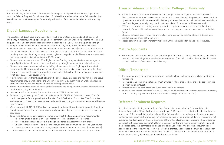#### May 1: Deferral Deadline

Students wishing to defer their fall enrolment for one year must pay their enrolment deposit and submit a Deferral Request Form before May 1. Scholarships are deferrable to the following fall, but need-based aid must be reapplied for annually. Admission offers cannot be deferred to the spring term.

# English Language Requirements

The substance of Quest Blocks and the style in which they are taught demands a high degree of proficiency in reading, writing, speaking and oral comprehension of English. Applicants whose native language is not English are required to submit the results of a TOEFL (Test of English as Foreign Language), IELTS (International English Language Testing System), or Duolingo English Test:

- Students who achieve at least 580 (paper-based) or 90 (internet-based) with a score of 21 in each of 4 testing sections (internet-based) on TOEFL, or an IELTS score of 6.5 in each of the four areas (reading, speaking, listening, writing), are strongly encouraged to apply. Please ensure that Quest's institution code 8341 is included on the TOEFL sheet.
- Students who receive a score of 70 or higher on the Duolingo language test are encouraged to apply. Applicants should submit their results directly through the online or app-based service.
- Students who have completed schooling in English are exempt from English proficiency test requirements. Their transcript must indicate they have completed at least two years of full-time study at a high school, university or college at which English is the official language of instruction for at least 50% of their course work.
- If a student considers their English ability sufficient for study at Quest, and has not met the above requirements, they may challenge the English requirement by submitting an English Language Proficiency Exemption Request Form through their applicant portal.
- More comprehensive English Language Requirements, including country-specific information and requirements, may be found here.
- International Baccalaureate, Advanced Placement, CEGEP and A-Levels
- Students may receive up to 4 Blocks of credit for IB, AP, CEGEP or A-Levels courses. Transfer credit is subject to final approval by the Transfer Credit Evaluation Committee. The Committee evaluates each course on a case-by-case basis, and there is no guarantee that a course will receive transfer credit.
- When approved, IB, AP, CEGEP and A-Levels credits will count towards elective credits. Credit for Foundation or Concentration courses is normally not given, but will be considered on a case-bycase basis.
- To be considered for transfer credit, a course must meet the following minimal requirements:
	- IB Final grade must be 6 or 7 in a "higher level" (i.e. not standard) IB course
	- AP Final grade must be 4 or 5 in a discipline offered at Quest University Canada
	- CEGEP Final grade must be a 'B' or better, and the course must be a second-year course
	- A-Levels Final received an 'A' mark, and the course must be full A-Levels (not AS-Levels)
- Please consult the section Transfer Credit from Other Institutions for details on procedures

# Transfer Admission from Another College or University

• Transfer students from other universities and colleges are encouraged to apply for admission. Given the unique nature of the Quest curriculum and course of study, the previous coursework done by transfer students will be evaluated individually to determine its applicability and transferability to • 50% of all coursework counting toward graduation requirements must be completed at Quest University Canada; this includes credits earned on exchange or academic leave while enrolled at

- the Quest degree. Normally, only credits with a grade of 'B' or higher will be considered.
- Quest.
- year) of transfer credit at time of entry.
- Please consult the section Transfer Credit from Other Institutions for details on procedures.

• Students entering Quest with prior university experience may be granted at most 8 Blocks (one

# Mature Applicants

• Mature applicants are those who have not attempted full-time studies in the last four years. While they may not meet all general admission requirements, Quest will consider their application based

on their likelihood of success at the University.

# Official Transcripts

• Transcripts must be forwarded directly from the high school, college or university to the Office of

• International Baccalaureate students must arrange for final official IB results to be sent from the

- Admissions.
- IB organization to Quest.
- AP results must be sent directly to Quest from the College Board.
- from the testing organizations (Quests SAT code is 4798; its ACT code is 5293).

• Students who choose to submit SAT or ACT results must arrange to have these results sent directly

# Deferred Enrolment Requests

Admitted students wishing to defer their offer of admission must submit a Deferred Admission Request Form to the Office of Admissions prior to May 1. Requests received after this date will not be processed. Deferrals will be granted only until the following fall term and only to students who have confirmed their enrolment by means of an enrolment deposit. The granting of deferral requests is not guaranteed and is based on the sole discretion of the Office of Admissions. Students who are granted a deferral will be required to submit a Deferral Contract confirming their intention to matriculate at the deferred date. This contract is co-signed by a parent/guardian. Any awarded scholarships are transferrable to the following fall term if a deferral is granted. Need-based aid must be reapplied for annually. If a student is granted a deferral but breaks the Deferral Contract and does not ultimately matriculate at Quest, the enrolment deposit is not refundable.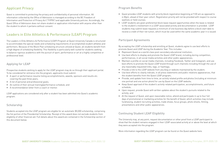# Applicant Privacy

Quest is committed to protecting the privacy and confidentiality of personal information. All information collected by the Office of Admission is managed according to the BC Freedom of Information and Protection of Privacy Act ("FIPPA") and applicable University policies. Accordingly, the Quest Office of Admission does not share student or application information with anyone other than the student to whom it pertains without consent.

# Leaders in Elite Athletics & Performance (LEAP) Program

The Leaders in Elite Athletics & Performance (LEAP) Program at Quest University Canada is structured to accommodate the special needs and scheduling requirements of accomplished student athletes and performers. Because of the Block Plan scheduling structure utilized at Quest, all students benefit from a high degree of scheduling flexibility. This flexibility is particularly well-suited for students seeking to balance rigorous academics with the pursuit of sport, performance or art at a highly competitive or professional level.

### Applying for LEAP

Prospective students wishing to apply for the LEAP program may do so through their applicant portal. To be considered for entrance into the program, applicants must submit:

- A sport or performance resume listing accomplishments, awards, sponsors and results etc. covering the past three years;
- A list of personal and professional goals;
- An outline of their annual training/performance schedule; and
- A recommendation letter from a coach or mentor.

LEAP applications are considered only after a student has been admitted into Quest's academic program.

#### Scholarship

Students accepted into the LEAP program are eligible for an automatic \$5,000 scholarship, comprising the fist portion of the Presidential Scholarship. Receipt of this award does not exclude students from eligibility of other financial aid. Full details about this award are contained in the Scholarship section of this document below.

### Program Benefits

• Quest provides LEAP students with priority block registration beginning at 9:00 am as opposed to 4:30pm, ahead of their year cohort. Registration priority will not be provided with respect to course

- waitlists or field courses.
- 

• LEAP students are given preferential block leave request opportunities when the leave is related to the student's involvement in a LEAP-associated activity and documentation is provided. LEAP students may submit leave requests a minimum of one business day before a block start date to receive a credit of their net tuition, which must be used within the same academic year it is issued.

#### Participant Agreements

By accepting the LEAP scholarship and enrolling at Quest, students agree to use best efforts to promote Quest and LEAP during the Academic Year. This includes:

• Maintain a profile on social media channels, including Facebook, Twitter and Instagram, and use best efforts to promote the Quest LEAP brand through such channels including through the use of

• Use best efforts to clearly indicate, in all press statements and public relations appearances, that

- Represent Quest as a world-class post-secondary educational institution;
- Use best efforts to display and promote the Quest LEAP brand, including during competition, performances, in all social media activities and other public appearances;
- any reasonably requested links, tags, or hashtags;
- Provide a link to the LEAP website from any blog or website maintained by the student;
- the student benefits from the Quest LEAP program;
- one portrait and one action photo) for use by Quest on the LEAP website;
- schedule;
- Upon request, provide Quest with written updates about the student's pursuits related to the activity; and
- At the request of Quest, and upon reasonable notice, attend and participate in up to four full presentations and other public appearances.

• Provide, and update from time to time, an activity related profile and photos (including at minimum

• Keep Quest apprised of the student's activity-related participation, accomplishments, and future

days of promotional or marketing activities for the benefit of Quest, which activities may include fundraising, student recruiting activities, trade shows, focus groups, photo shoots, filming,

### Continuing Student LEAP Eligibility

The University may, at any point, request documentation or other proof from a LEAP participant to show that the student remains engaged in their LEAP-associated activity at or above the level at which they were accepted into the program.

More information regarding the LEAP program can be found on the Quest website here.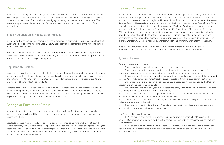# Registration

Registration, or change of registration, is the process of formally recording the enrolment of a student by the Registrar. Registration requires agreement by the student to be bound by the bylaws, policies, codes and procedures of Quest, and acknowledging these may be changed from time to time. The registration process validates the student's intent to participate in courses for each term of the academic year.

### Block Registration & Registration Periods

Incoming first-year and transfer students will be automatically registered in Cornerstone as their first Block and Rhetoric as their second Block. They will register for the remainder of their Blocks during the next registration period.

Returning students select their courses online during the registration period held in the prior term. During this period, students meet with their Faculty Advisors to plan their academic programs for the next term and complete the registration process.

#### Registration Periods

Registration typically opens mid-April for the fall term, mid-October for spring term and mid-February for the summer term. Registration priority is based on class level and opens for fourth-year students first, followed in 48 hours by third-year students, followed in 48 hours by second-year students and followed in 72 hours by first-year students.

Students cannot register for subsequent terms, or make changes to their current term, if they have an outstanding balance on their account and are placed on an Outstanding Balance Stop. Students who have not paid the re-enrolment deposit will be placed on a No deposit stop and will not be able to register for subsequent terms or make changes to their current term.

# Change of Enrolment Status

All students accepted into the University are expected to enrol on a full-time basis and to make satisfactory progress toward their degree unless arrangements for an exception are made with the Registrar's Office.

Satisfactory academic progress (SAP) toward a degree is defined as earning credits for at least 3 Blocks per term, with 6 Blocks completed per academic year, typically in the fall and spring terms (see Academic Terms). Failure to make satisfactory progress may result in academic suspension. Students should also be aware that maintaining full-time status is frequently necessary for maintaining both outside and institutional financial aid.

- Student wishes to take a leave from studies for personal reasons.
- Student must submit a Non-academic Leave Request three weeks prior to the start of the first Block away to receive a net-tuition credited to be used within that same academic year.
- If non-academic leave is not requested, tuition will be charged even if the student did not attend classes. Approved submissions for retroactive leave requests will incur a \$200 administration fee.
- Student is not permitted to stay on campus unless express permission is given by the Dean of Student Life or Manager of Campus Life.
- Students may take up to one year of non-academic leave, after which the student must re-enrol in on-campus courses or withdraw from the University.
- Once re-enrolled, students are expected to maintain normal academic progress and are not permitted to take another term or year of non-academic leave.
- Students who do not re-enrol or formally withdraw will be administratively withdrawn from the University after a term of inactivity.
- bursaries in the eventuality of a non-academic leave.

# Leave of Absence

It is assumed that all students are registered full-time for 4 Blocks per term at Quest, for a total of 8 Blocks per academic year (September to April). While 3 Blocks per term is considered full-time for enrolment purposes, any student registered in fewer than 4 Blocks must complete a Leave of Absence Request Form (all leave-related forms can be found on the Portal under Academic Forms). Any Block in which a student is not registered must be recorded as "On Leave" and must be reviewed and/or approved by their Faculty Advisor, the Dean of Student Life, Financial Aid Office and the Registrar's Office. A student on leave is not permitted to remain in residence unless express permission has been given by the Dean of Student Life or the Housing Office. Students may take up to one year of nonacademic leave after which they must enrol in on campus courses. Students who do not re-enrol or formally withdraw will be administratively withdrawn from the University after a term of inactivity.

If leave is not requested, tuition will be charged even if the student did not attend classes. Approved submissions for retroactive leave requests will incur a \$200 administration fee.

#### Types of Leaves

Personal Non-academic Leave:

• Please consult the Scholarships and Financial Aid section for policies governing awards and

LEAP student Non-academic Leave:

• LEAP student wishes to take a leave from studies for involvement in a LEAP-associated activity - Documentation must be provided by the student's coach or by an association or competition

• LEAP students must submit a Non-academic Leave Request a minimum of one business day before a block start date to receive credit of their net tuition, which must be used within the same

- representative.
- academic year it is issued.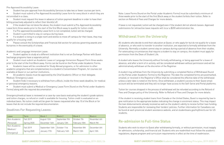Pre-Approved Accessibility Leave:

• Student has pre-approval from Accessibility Services to take two or fewer courses per term.

• Student must submit a Pre-Approved Accessibility Leave form for every block in which they are not enrolled in a class.

- If a Pre-approved Accessibility Leave form is not completed, tuition will be charged.
- Student is permitted to stay on campus during leave.

• Student must request this leave in advance of tuition payment deadline in order to have their billing proactively adjusted to reflect their block(s) off.

• If the student has not done the above, the student must submit a Pre-Approved Accessibility Leave form three weeks prior to the start of the first Block away to qualify for tuition credit.

• If a student is living in a single room and wishes to move off campus for their leave, they may qualify for a housing credit.

• Please consult the Scholarships and Financial Aid section for policies governing awards and bursaries in the eventuality of a leave.

Academic and Language Immersion Leave:

• Student applies to study at a different institution that is not an Exchange Partner with Quest (exchange programs have a separate policy).

• Student must submit an Academic Leave or Language Immersion Request Form three weeks prior to the start of the first Block away. Forms can be found on the Portal under Academic Forms.

• Academic leave will be considered for Study Abroad programs, or for admission to other academic programs that are complementary to a student's Concentration Program, for courses not available at Quest or our partner institutions.

• All academic leaves must be approved by the Chief Academic Officer or their delegate. Medical / Emergency Leave:

• Student finds it necessary to withdraw from a Block, inside the three-week deadline, for medical or personal emergency reasons.

• Student must submit a Medical or Emergency Leave Form (found on the Portal under Academic Forms) along with the required documentation.

Emergency/medical leave is reviewed on a case-by-case basis evaluating the student's grade options and tuition charges; no refund or credit is available for housing. Tuition credit is evaluated on an individual basis. No tuition credit will be given for leaves requested after day 10 of the Block or for leaves that do not include the required documentation.

Deadlines For Requesting Leaves:

| Leave                                    | Term                     | Block 1                        | Block 2                       | Block 3                    | Block 4                    |
|------------------------------------------|--------------------------|--------------------------------|-------------------------------|----------------------------|----------------------------|
| Non-Academic                             | Fall 2019                | August 12th                    | September 9th                 | October 7th                | November 4th               |
| (Personal)                               | Spring 2020              | December 16th                  | January 13th                  | February 10th              | March 9th                  |
| Non-Academic<br>(Medical /<br>Emergency) | Fall 2019<br>Spring 2020 | September 16th<br>January 17th | October 11st<br>February 14th | November 8th<br>March 13th | December 6th<br>April 13th |

Note: Leave Forms (found on the Portal under Academic Forms) must be submitted a minimum of three weeks prior to the start of the first Block away or the student forfeits their tuition. Refer to section on Refund of Fees and Charges for more details.

If leave is not requested, tuition will be charged even if the student did not attend classes. Approved submissions for retroactive leave requests will incur a \$200 administration fee.

# Withdrawal from the University

All students who decide to end their education at Quest, or who apply for but do not qualify for a leave of absence, or who wish to transfer to another institution, are expected to formally withdraw from the University. Normally a student cannot stay on campus during a period of absence from their studies. For extenuating circumstances that require a student to stay on campus, the student must apply for permission from the Dean of Student Life.

A student who leaves the University without formally withdrawing, or being approved for a leave of absence, and after a term of in-activity, will be considered withdrawn without permission and will be administratively withdrawn at the discretion of the Registrar.

A student may withdraw from the University by submitting a completed Notice of Withdrawal (found on the Portal under Academic Forms) to the Registrar. The date the completed forms are postmarked, emailed, or received in the Registrar's Office shall be considered the effective date of the withdrawal unless a later date is noted on the forms. Once withdrawn, a student's access to their Quest email account will be terminated and they will no longer have access to the Self-Serve and Portal platforms.

Tuition for courses dropped in the process of withdrawal will be refunded according to the Refund of Fees and Charges policy of the University. Refer to Refund of Fees and Charges for more details.

If the student is receiving student loans from Canada or the United States, Quest is required by law to give notification to the appropriate bodies indicating the change in enrolment status. This may impact the loan disbursements already received as well as the student's ability to receive further loan funding. Students are responsible for reviewing their lenders' policies. Further information for Canadians can be found at each provincial student assistance website, and at studentloans.gov/myDirectLoan for US students.

# Re-admission to Full-time Status

Students who wish to return to Quest after withdrawing formally, or without permission, must reapply for admission, scholarship, and financial aid. Students who are readmitted must follow the academic regulations, degree program and curriculum requirements in effect at the time of readmission.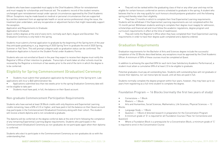Students who have been suspended must apply to the Chief Academic Officer for reinstatement and must reapply for scholarships and financial aid. The academic record of the student remains unchanged upon reinstatement except under special circumstances approved by the Chief Academic Officer. Exceptions may be made based on medical or personal circumstances that are supported by a written statement from an appropriate health or social service professional citing the issue, the treatment plan undertaken, and any recuperative or adjustment factors that might reasonably support the exception.

Application and Requirements to Graduate

#### Application to Graduate

Quest confers degrees at the end of every term, normally each April, August and December. The Graduation Ceremony is only held in the spring.

Students must submit a formal application to graduate by the beginning of the Spring term of the year they anticipate graduating in, e.g. beginning of 2020 Spring Term to graduate the end of 2020 Spring, Summer or Fall Term. This will prompt a degree audit so graduation status can be confirmed. The Graduation Application is found on the Student Portal under Academic Forms.

Students who are not enrolled at Quest in the year they expect to receive their degree must notify the Registrar's Office of their intention to graduate. Transcripts of work taken at other schools must be received by the Registrar a minimum of two weeks prior to the end of the term in which the degree is to be conferred.

# Eligibility for Spring Commencement (Graduation) Ceremony

• Students must submit their graduation application by the beginning of the Spring term. Late applications will incur a \$60 administration fee.

• Applications submitted less than two weeks prior to the spring Graduation Ceremony date will not be eligible to take part

They will notify the Registrar's Office when they have completed their final Experiential Learning requirements in order to have their degree audit completed and a diploma ordered.

• Students must have paid, in full, the balance on their Quest account.

#### Non-graduate Commencement Participation Requirements

Students who have earned at least 30 Block credits with only Keystone and Experiential Learning credits remaining, have a GPA of 2.0 or higher, and have paid in full the balance on their Quest account may participate in the Commencement (Graduation) Ceremony along with their cohort. The student will receive a blank diploma and is not considered a graduate.

The diploma will be conferred on the degree conferral date at the end of term following the completion of any remaining Experiential Learning degree requirements. Students who participate in the Commencement (Graduation) Ceremony as non-graduates do not participate again when their diploma is conferred.

Students who elect to participate in the Commencement Ceremony as non-graduates do so with the understanding that:

• They will not be ranked within the graduating class of that or any other year and may not be eligible for certain honours conferred on seniors scheduled to graduate in the spring. A student who believes that he or she may qualify for such honours should postpone graduation until the following spring and thereby retain their eligibility.

• They have 12 months in which to complete their final Experiential Learning requirements. Students will be withdrawn if the Experiential Learning requirements are not completed within the 12-month period. Withdrawn students wishing to complete their degree must reapply for admission, scholarships and financial aid and must follow the academic regulations, degree program and curriculum requirements in effect at the time of readmission.

# Graduation Requirements

Graduation requirements for the Bachelor of Arts and Sciences degree include the successful completion of the 32 Blocks described below; any exceptions must be approved by the Chief Academic Officer. A minimum of 50% of these courses must be completed at Quest.

In addition to achieving the specified GPA for each term (see Satisfactory Academic Performance), a student must attain a cumulative GPA of at least 2.0 to be eligible to graduate.

Potential graduates must pay all outstanding fees. Students with outstanding fees will not graduate or receive their diploma, nor can transcripts be issued, until all fees are paid in full.

Students normally complete the degree program within four years; however, they may have up to six years from registering as a full-time student to complete the degree.

Foundation Program — 16 Blocks (normally the first two years of study)

- Cornerstone 1 Block
- Rhetoric 1 Block

• Arts and Humanities, Social Sciences, Mathematics, Life Sciences, Physical Sciences — 12 Blocks

- Language Study 1 Block
- 

• Question — 1 Block of directed research in preparation for the Concentration Program • A minimum grade of 'D' is required for all Foundation Courses ('Pass' for Cornerstone and

Question)

• Where a Foundation Block is a prerequisite for a Concentration Block, a minimum grade of 'C' is required to enrol in the Concentration Course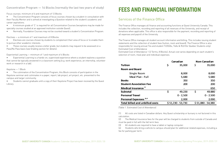# FEES AND FINANCIAL INFORMATION

# Services of the Finance Office

The Finance Office manages all finance and accounting functions at Quest University Canada. This includes the collection, recording and reporting of all revenues of the University, and receipt of donations when applicable. This office is also responsible for the payment, recording and reporting of all expenses and payroll of the University.

The Finance Office manages all student account information and billing. This includes issuing student statements and the collection of student fees (tuition, room and board). The Finance Office is also responsible for issuing annual T4s and student T2202As, T4As & RL8 (for Quebec Students only). Estimated Cost of Attendance Estimated Cost of Attendance 1 (2 Terms, 8 Blocks). Actual cost varies depending on each student's selection of room, meal plan and individual expenses.

#### **Tuition**

#### **Room and Board** Single Room Meal Plan - Full **Books Student Association Fee** Medical Insurance<sup>2</sup> **Subtotal Personal Travel** Personal Expenses<sup>3,4</sup> **Total billed and unbilled costs**

(Table 1. Estimated Cost of Attendance)

(1) All costs are listed in Canadian dollars. Any Quest scholarship or bursary is not factored in this calculation.

Electives are courses chosen by students to complement their area of focus or to enable them to pursue other academic interests.

> (2) The Medical Insurance fees for the year will be charged to students from outside of Canada and must be paid in full with the fall term fees

Experiential Learning is a hands-on, supervised experience where a student explores a question that cannot be typically answered in a classroom setting (e.g. work experience, an internship, volunteer work or research in a lab).

(3) All students are required to have a tablet or laptop computer.

(4) Students who bring a vehicle to campus should plan for additional related expenses, including a fee for parking per term.

| Canadian          |             | Non-Canadian      |
|-------------------|-------------|-------------------|
| \$                | 35,000      | \$<br>35,000      |
|                   |             |                   |
|                   | 8,000       | 8,000             |
|                   | 5,680       | 5,680             |
|                   | 350         | 350               |
|                   | 200         | 200               |
|                   |             | 650               |
| \$                | 49,230      | \$<br>49,880      |
|                   | $0 - 2,500$ | $0 - 2,500$       |
|                   | 2,000       | 2,000             |
| \$51,230 - 53,730 |             | \$51,880 - 54,380 |

#### Concentration Program — 16 Blocks (normally the last two years of study)

Focus courses: minimum of 6 and maximum of 12 Blocks

• The Concentration Program consists of focus courses chosen by a student in consultation with their Faculty Mentor and is aimed at investigating a Question related to the student's academic and career aspirations.

• A minimum grade of 'C' is required for all Concentration Courses (exceptions may be made for specialty courses studied at an approved institution outside Quest).

• Normally, Foundation Courses may not be counted toward a student's Concentration Program.

Electives — a minimum of 1 and maximum of 8 Blocks

• These courses usually receive a letter grade, but students may request to be assessed on a Pass/No Pass basis (see Grading section for details).

Experiential Learning — minimum of 1 and maximum of 4 Blocks

Keystone — 1 Block

• The culmination of the Concentration Program, this Block consists of participation in the Keystone seminar and culminates in a paper, report, lab project, art project, etc. presented to the campus and larger community.

• Students cannot graduate until a copy of their Keystone Project has been received by the Quest Library.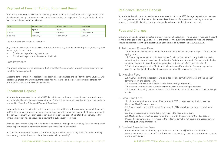# Payment of Fees for Tuition, Room and Board

Students are required to pay all fees (including tuition, room and board) prior to the payment due date listed on their billing statement for each term in which they are registered. The payment due date for each term is listed in the table below.

- 7 calendar days after registration, or
- 2 business days prior to the start of the block.

| Term     | <b>Enrollment Deposit</b> | Statement Issued | Fees Due    |
|----------|---------------------------|------------------|-------------|
| $ $ Fall | April 1                   | June 1           | August 1    |
| Spring   | October 1                 | October 31       | December 15 |
| Summer   | 'February 1               | February 28      | April 30    |

(Table 2. Billing and Payment Deadlines)

Any students who register for classes after the term fees payment deadline has passed, must pay their balances, by the earlier of:

#### Late Payments

Any unpaid balances will be assessed a 1.5% monthly (19.5% annually) interest charge beginning the 1st of the following month.

Students cannot check-in to residences or begin classes until fees are paid for the term. Students will not receive grades or any official transcripts, nor will they be able to access course registration for future terms, until fees have been paid in full.

# Enrolment Deposit

All students are required to submit a \$500 deposit to secure their enrolment in each academic term and to be eligible for online course registration. The enrolment deposit deadline for returning students is stated in "Table 2 – Billing and Payment Deadlines."

New students who are admitted to the University for the fall term will be required to submit the deposit by May 1 (or within two weeks of admission for those admitted after this deadline). Students who apply through Quest's Early Decision application plan must pay this deposit no later than February 1. The enrolment deposit will be applied as a payment to subsequent term fees.

Requests for enrolment deposit refunds must be made in writing and received by Quest or postmarked by the deposit deadline. Enrolment deposits are typically non-refundable.

All students are required to pay the enrollment deposit by the due date regardless of tuition funding sources (e.g. student loans, scholarships or external sponsorship).

# Residence Damage Deposit

All students living in campus residences are required to submit a \$500 damage deposit prior to movein. Upon graduation or withdrawal, the deposit, less the costs of any required cleaning or damage repairs, is refundable, barring any other outstanding charges on the student's account.

# Fees and Charges

University fees and charges indicated are as of the date of publishing. The University reserves the right to make changes to the regulations, fees, and charges. Any questions concerning fees and charges should be directed in writing to student.billing@questu.ca or by telephone at 604.898.8075.

#### 1. Tuition and Course Fees

1.1. All students will be billed tuition for 4 Blocks per term for the academic year (fall term and spring term).

1.2. Students planning to enrol in fewer than 4 Blocks in a term must notify the University by submitting the relevant leave form (found on the Portal under Academic Forms) prior to the fee due date\* in order to have their billing proactively adjusted to reflect their block(s) off. 1.3. All students registered in Blocks with a field-trip and/or materials fee must pay the fee prior to the deadline (outlined in the course description) to maintain enrolment.

#### 2. Housing Fees

2.1. All students living in residence will be billed for one term (four months) of housing each term (fall term and spring term). 2.2. Occupancy in Riverside is billed for the entire term (four months).

2.3. Occupancy in the Peaks is month by month, even though billing is per term. 2.4. Students intending to enrol in fewer than 4 Blocks in a term are advised to consider living in

the Peaks.

#### 3. Meal Plan Fees

 3.1. All students with matric date of September 5, 2017 or later, are required to have the Unlimited Meal Plan each term.

3.2. Students with matric date before September 5, 2017 may choose to have a partial Meal Plan.

3.3. Students residing in Riverside are not required to have a meal plan. 3.4. Meal plan funds must be used within the term with the exception of the Flex Dollars. Unused flex dollars can carry forward to the following term but not beyond the academic year the meal plan was purchased in.

#### 4. Student Association Fees

4.1. All students are required to pay a student association fee (\$100/term) to the Quest University Students Association (QUSA). The fee is collected by Quest and forwarded to QUSA on the student's behalf.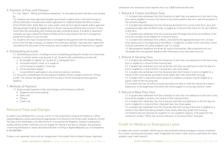#### 5. Payment of Fees and Charges

5.1. See "Table 2 – Billing and Payment Deadlines" for due dates by which the fees must be paid by.

5.2. Students who have approved Canadian government student loans confirmed through an official notification of assessment and/or approved U.S. Federal Student Aid (Direct Loans/ Direct PLUS) and/or Sallie Mae U.S. loans and/or external (non-Quest) awards and/or approved Aboriginal band funding all payable direct to Quest may be permitted to have a portion of their tuition fees left outstanding until funding has been received by Quest. A student is required to complete and sign a Quest Fee Payment Deferral Form associated to the term and payment period that funding is to be received.

5.3. Students who have not paid all fees or arranged for fee payment with the Student Billing prior to the first day of classes, as stated in the University calendar, may have their registration cancelled at the discretion of the University. Such students will then be required to re-register.

#### 6. Outstanding Accounts

6.1. Outstanding accounts, including accounts outstanding pending the receipt of a scholarship, bursary, or similar award, must be paid in full. Students with outstanding accounts will:

- a. be ineligible to register for courses for a subsequent term
- b. not be permitted to check in to residence
- c. not be issued an academic transcript
- d. not be awarded a degree
- e. not permitted to participate in any university events or activities

6.2. Accounts outstanding by the fees payment deadline will be charged interest at 1.5% per month. The interest will apply effective the first day of month following the fees payment deadline.

#### 7. Methods of Payment

7.1. Quest accepts payment of fees and charges via the following methods:

- Telephone and online banking
- Debit card
- Cheque
- Credit card

# Refund of Fees and Charges

A student may withdraw from a course, a term, or the university by notifying the Registrar's Office (registrar@questu.ca) by submitting the appropriate form (found on the Portal under Academic Forms). The date of the withdrawal is the date the form is received by the Registrar. Students ceasing their studies without written notification are not eligible for refund of any fees or charges. Any questions concerning withdrawal or leaves should be directed in writing to registrar@questu.ca, or by telephone at 604.898.8084.

If leave is not requested, tuition will be charged even if the student did not attend classes. Approved

submissions for retroactive leave requests will incur a \$200 administration fee.

#### 1. Refund of Tuition and Block Fees

1.1. A student who withdraws from the University no later than one week prior to the start of any term will be eligible to receive a full refund of any tuition paid for that term, with the exception of the enrolment deposit.

1.2. A student who withdraws from the University during the first course of the term, up to and including two days after the Block ends, is eligible for a refund of the tuition for the last 2 Blocks of that term.

1.3. A student who withdraws from the University after the beginning of the second Block of the term will normally not be eligible for a refund of tuition. 1.4. A student who withdraws from a Block, and submits the appropriate leave form, at least three weeks prior to the beginning of that Block, is eligible for a credit of their net tuition, which must be used within the same academic year it is issued. 1.5. Block payment deadlines are driven by costs to third parties. Block payments are nonrefundable after the payment deadline when third-party costs have been incurred.

#### 2. Refund of Housing Fees

2.1. A student who withdraws from the University no later than one week prior to the start of any term is eligible for a refund of their housing fees. 2.2. A student who withdraws from the University, less than one week prior to the first day of a term is eligible for a refund of their housing fees, less three weeks. 2.3. A student who withdraws from the University after the first day of a term is eligible for a refund of their housing fees prorated to three weeks after they vacate their housing. 2.4. A student who is required to leave campus for academic purposes may be eligible for a partial credit of their housing fees.

2.5 A student who has an active housing reservation but fails to notify the University at least 3 weeks prior to the beginning of the block will not be eligible for a housing refund or credit.

#### 3. Refund of Meal Plan Fees

3.1. A student who withdraws from the University no later than one week prior to the start of any term will be eligible to receive a full refund of their meal plan fees. 3.2. A student who withdraws from the University, less than one week prior to the first day of a term is eligible for a refund of their meal plan fees, less three weeks. 3.3. A student who withdraws from the University after the first day of the term is eligible for a refund of their Meal Plan fees prorated to three weeks after they vacate their housing. 3.4 Students who are required, for academic or non-academic reasons, to be away from the campus for at least 1 Block will receive a reduction in the price of their meal plan.

# Credit for Medical or Emergency Leave

A student who cannot complete a Block due to a documented medical emergency may be considered for a tuition, housing and meal plan credit. If approved, the tuition credit must be used within the same academic year it was issued in.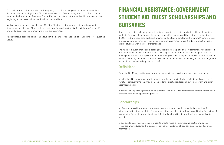# FINANCIAL ASSISTANCE: GOVERNMENT STUDENT AID, QUEST SCHOLARSHIPS AND BURSARIES

Quest is committed to helping make its unique education accessible and affordable to all qualified students. To lessen the difference between a student's resources and the cost of attending Quest, the University provides scholarships, bursaries and a Student employment program Program. Quest is also an approved institution to administer several government student-aid programs that assist eligible students with the cost of attendance.

The value of a Quest financial aid package (Quest scholarship and bursary combined) will not exceed that of full tuition in any academic term. Quest requires that students take advantage of external funding opportunities (e.g. government student-aid programs) to support their cost of attendance. In addition to tuition, all students applying to Quest should demonstrate an ability to pay for room, board and additional expenses (e.g. books, travel).

# **Definitions**

Financial Aid: Money that is given or lent to students to help pay for post-secondary education.

Scholarship: Non-repayable (grant) funding awarded to a student who meets defined criteria for a variety of achievements that may include academic excellence, leadership, volunteerism and other accomplishments.

Bursary: Non-repayable (grant) funding awarded to students who demonstrate unmet financial need, assessed through an application process.

# **Scholarships**

All Quest scholarships are entrance awards and must be applied for when initially applying for admission to Quest and not later. The value of a Quest scholarship will not exceed that of full tuition. If a continuing Quest student wishes to apply for funding from Quest, only Quest bursary applications are accepted.

In addition to Quest's scholarships, students should research external awards. Several online resources are available for this purpose. High school guidance offices can also be a good source of information.

The student must submit the Medical/Emergency Leave Form along with the mandatory medical documentation to the Registrar's Office within one week\* of withdrawing from class. Forms can be found on the Portal under Academic Forms. If a medical note is not provided within one week of the beginning of the Leave, tuition credit will not be considered.

Medical leave requests made after day 10 of the Block will not be considered for tuition credit. Requests made after day 10 will still be considered for grade review ('W' for 'Withdrawn' vs. an 'F') provided all required information and forms are submitted.

\* Specific leave deadline dates can be found in the Leave of Absence section – Deadline for Requesting Leave.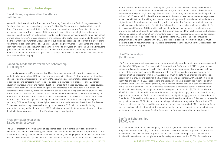QUEST UNIVERSITY CANADA Academic Calendar Operating Principles, 2019-2020 / 38 QUEST UNIVERSITY CANADA Academic Calendar Operating Principles, 2019-2020 / 39

# Quest Entrance Scholarships

David Strangway Award for Excellence Full Tuition

Named for the University's first President and Founding Chancellor, the David Strangway Award for Excellence honours the extraordinary career of Dr. David W. Strangway and his vision that created Quest. The award provides full tuition for four years, and is available only to Canadian citizens and permanent residents. The recipients of this award will have achieved very high levels of academic excellence combined with an outstanding record of leadership and service. Students with a high school average above 90% (3.75 GPA or equivalent) are encouraged to apply. Prospective students applying for the David Strangway Award for Excellence must submit an application specifically for this award along with their application for admissions. Up to six David Strangway Awards for Excellence are awarded each year. This entrance scholarship is renewable for up to four years or 32 Blocks, up to and including graduation, so long as the lifetime limit of 32 Blocks is not exceeded. A continuing student must meet the eligibility requirements as per Quest's scholarship renewal policy. See the Quest website for information on how to apply.

#### Canadian Academic Performance Scholarship \$10,000/year

The Canadian Academic Performance (CAP) Scholarship is automatically awarded to prospective students who apply with an 80% average or greater in grades 11 and 12. Students must be Canadian citizens or permanent residents to qualify. CAP Scholarship assessment takes place at the point of application, and considers the average of all academic courses from grades 11 and 12. Career education courses, physical and health education courses, faith-based courses, skills-based courses, or courses in applied design and technology are not considered in this calculation. Full details of academic course criteria by province and territory can be found on the Quest website. Students who are awarded the CAP Scholarship upon admission but who drop below the minimum 80% average in their official final transcript may have their award removed based on the sole discretion of the Office of Admissions. Transfer applicants are eligible for this award, but students applying with a postsecondary GPA below 3.0 may not be eligible based on the sole discretion of the Office of Admissions. This entrance scholarship is renewable for up to four years or 32 Blocks, up to and including graduation, so long as the lifetime limit of 32 Blocks is not exceeded. A continuing student must meet the eligibility requirements as per Quest's scholarship renewal policy.

#### Presidential Scholarships \$2,000 to \$8,000/year

The Quest program is rigorous. While an applicant's academic record is a key consideration for awarding a Presidential Scholarship, this award is not evaluated on strict numerical parameters. Quest is more impressed by students who have done well in highly challenging courses than by students who have achieved the highest grades in easier ones. We are also interested in extracurricular activities—

not the number of different clubs a student joined, but the passion with which they pursued nonacademic interests and the impact made on classmates, the community, or others. Possible areas include community service, leadership, theatre, clubs, volunteering, or a notable talent in a particular skill or craft. Presidential Scholarships are awarded to those who have demonstrated an eagerness to learn, an ability to lead, a willingness to contribute, and a passion for excellence: all students are eligible to apply for and receive this award, regardless of nationality. Prospective students must optin to be considered eligible for the Presidential Scholarship on their initial application to Quest. The Admissions and Financial Aid Committee will consider all aspects of a student's application when awarding this scholarship. Although optional, it is strongly suggested that applicants submit reference letters and a resume of personal achievements to support their Presidential Scholarship application. This entrance scholarship is renewable for up to four years or 32 Blocks, up to and including graduation, so long as the lifetime limit of 32 Blocks is not exceeded. A continuing student must meet the eligibility requirements as per Quest's scholarship renewal policy. See the Quest website for information on how to apply.

#### LEAP Scholarships \$5,000/year

LEAP scholarships are entrance awards and are automatically awarded to students who are accepted into Quest's LEAP program. The Leaders in Elite Athletics & Performance (LEAP) program allows eligible candidates to complete a world-class education while simultaneously pursuing excellence in their athletic or artistic careers. The program caters to athletes and performers pursuing their sport or art at a professional or elite level. Applicants must indicate within their online admissions application that they plan to apply for the LEAP program, and a separate LEAP Application must be submitted and approved. LEAP applications are not reviewed until a student has received an offer of admission for Quest's academic program, and the review process considers past achievements as well as future potential. The LEAP entrance scholarship is considered part of the Presidential Scholarship (see above), and recipients are effectively guaranteed the first \$5,000 of a maximum \$8,000 Presidential Scholarship amount. All students are eligible to apply for and receive this award, regardless of nationality. LEAP scholarship recipients are eligible to apply for and receive additional Presidential Scholarships, other entry scholarships, and Quest bursary funds. This award is renewable for up to four years or 32 Blocks, up to and including graduation, so long as the lifetime limit of 32 Blocks is not exceeded. To renew this scholarship, students must submit a LEAP reapplication form each spring term which outlines their training plan, goals, and any progressions made in their sport or performance in the previous year. See the Quest website for more information on how to apply.

#### Gap Year Scholarships \$5,000/year

In recognition of completion of select gap-year programs, students accepted into Quest's academic program will be awarded a \$5,000 annual scholarship. The up-to-date list of partner programs are listed on the Quest website here. Gap Year scholarships are considered part of the Presidential Scholarship (see above), and recipients are effectively guaranteed the first \$5,000 of a maximum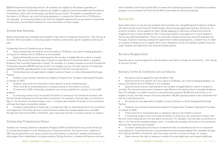\$8,000 Presidential Scholarship amount. All students are eligible for this award, regardless of nationality. Gap Year scholarship recipients are eligible to apply for and receive additional Presidential Scholarships, other entry scholarships, and Quest bursary funds. This award is renewable for up to four years or 32 Blocks, up to and including graduation, so long as the lifetime limit of 32 Blocks is not exceeded. A continuing student must meet the eligibility requirements as per Quest's scholarship renewal policy. See the Quest website for more information on how to apply.

#### Scholarship Renewal

Quest scholarships are renewable each Academic Year (which includes all three terms - Fall, Spring, & Summer Terms) provided a continuing student maintains scholarship-specific eligibility criteria each year.

- Students must meet all scholarship criteria specific to each scholarship type.
- There must be no outstanding fees or a balance owing on the student's account.

Scholarship Terms & Conditions are as follows:

• Quest scholarships are valid for up to four years or 32 Blocks, up to and including graduation, so long as the lifetime limit of 32 Blocks is not exceeded.

• Quest scholarships are pro-rated based on the number of eligible Blocks in which a student is enrolled. The annual scholarship value is based on eight Blocks of enrolment within a standard Academic Year (normally September to April). For example, if a student receives an annual Presidential Scholarship valued at \$8,000 and only enrolls in six eligible courses, the total amount of scholarship awarded is \$6,000, typically posted in two installments for Fall Term and Spring Term.

• Scholarships are only applicable to eligible courses at Quest or a Quest designated Exchange Partner.

• Students must maintain Satisfactory Academic Progress (See "Academic Operating Principles" for details on SAP).

• To retain their LEAP scholarship, recipients must remain qualified for, and part of, the LEAP program.

• A continuing student must not exceed 18 months of continuous non-enrolment at Quest, with the first month following from the last date of enrolment. For example, if the last date of enrolment is May 11, the 18-month countdown begins June 1. A student who exceeds 18 months of non-enrolment will have their Quest scholarship revoked.

• A student seeking Quest scholarship re-instatement after an extended period of non-enrolment must appeal for Committee decision using the Quest scholarship renewal appeal form, available through the Financial Aid Office. Enrolment, upon returning, must be in courses at Quest, on campus .

#### Scholarship Probationary Status

Students not meeting Satisfactory Academic Progress (SAP) as defined by this document will be put on scholarship probation for the following term of Quest enrolment. During this term, students on SAP may be granted this one 'grace' period (one term) without a reduced or revoked scholarship to help support their rehabilitation into good standing. During this term, a student will have an interview with a member of the Financial Aid Office to review the scholarship probation. If satisfactory academic progress is not achieved, the Financial Aid Office may revoke the Quest scholarship.

# Bursaries

Quest administers its own bursary program which provides non-repayable (grant) funding to students who demonstrate unmet financial need through a Quest bursary application process. Bursaries, for entrance students, can be applied for when initially applying for admission to Quest and must be reapplied for prior to each Academic Year. Continuing students must apply prior to each Academic Year by the published deadlines. There is no automatic renewal and bursary amounts awarded may fluctuate. Students receiving funding from government student aid programs, a student line-of-credit or a similar funding source to support their cost of attendance will be considered in greater financial need. Students are expected to use external funding options.

### Bursary Reapplication

Quest bursaries must be applied for each Academic Year (which includes all three terms - Fall, Spring, & Summer Terms).

#### Bursary Terms & Conditions are as follows:

• Bursaries must be applied for each Academic Year.

• Quest bursaries are valid for up to four years or 32 Blocks, up to and including graduation, so long as the lifetime limit of 32 Blocks is not exceeded.

• Quest bursaries are pro-rated based on the number of eligible Blocks in which a student is enrolled. The annual bursary value is based on eight Blocks of enrolment within a standard Academic Year. For example, if a student receives an annual bursary valued at \$4,000 and only enrolls in six eligible courses, the total amount of bursary awarded is \$3,000, typically posted in two installments for Fall Term and Spring Term.

• Bursaries are only applicable to eligible courses at Quest or a Quest designated Exchange Partner.

• Students must maintain Satisfactory Academic Progress (See "Academic Operating Principles" for details on SAP).

There must be no outstanding fees or a balance owing on the student's account.

• A continuing student must not exceed 18 months of continuous non-enrolment at Quest, with the first month following from the last date of enrolment. For example, if the last date of enrolment is May 11, the 18-month countdown begins June 1. A student who exceeds 18 months of non-enrolment will have their Quest bursary revoked.

• A student seeking Quest bursary re-instatement after an extended period of non-enrolment must appeal for Committee decision using the Quest bursary renewal appeal form, available through the Financial Aid Office. Enrolment, upon returning, must be in courses at Quest, on campus. • Quest reserves the right to reassess a student's bursary application and request additional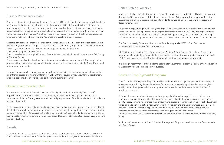#### Bursary Probationary Status

Students not meeting Satisfactory Academic Progress (SAP) as defined by this document will be placed on Bursary Probation for the following term of enrolment at Quest. During this term, students on probation may be granted this one 'grace' period (one term) without a reduced or revoked bursary to help support their rehabilitation into good standing. During this term, a student will have an interview with a member of the Financial Aid Office to review their bursary probation. If satisfactory academic progress is not achieved, the Financial Aid Office may revoke the Quest bursary.

Students can appeal a bursary amount after the Financial Aid Office decision if they can demonstrate a significant, unexpected change in financial resources that directly impacts their ability to attend the University. Contact financial.aid@questu.ca to request an appeal application.

Quest Bursary Application Deadlines

Quest bursaries must be applied for each Academic Year (which includes all three terms - Fall, Spring, & Summer Terms).

The bursary reapplication deadline for continuing students is normally mid-April. The reapplication process will normally open mid-March. Announcements will be made via email, the Quest Portal, and other appropriate media.

Reapplications submitted after the deadline will not be considered. The bursary application deadline for entrance students is normally March 1. NOTE: Entrance students may apply for a Quest Bursary after this deadline, but priority is given to those who submit by March 1.

# Government Student Aid

Government student aid is financial assistance for eligible students provided by federal and/ or provincial/territorial/state governments. Funding may consist of loans, grants, awards, or a combination of these. Some government student aid programs are offered to students in both full-time and part-time study.

Each government student aid program has its own rules and policies which supersede those of Quest. It is the borrower's (student, parent, guardian etc) responsibility to understand the agreement with the loan program and how its policies will relate to one's studies at Quest. Students and borrowers should pay particular attention to government policies around leaves-of-absence, study abroad programs, and course reduction.

#### Canada

Within Canada, each province or territory has its own program, such as StudentAid BC or OSAP. The Quest website contains a list of Canadian government student aid programs that Quest administers.

#### United States of America

Quest is a Title IV Eligible Institution and participates in William D. Ford Federal Direct Loan Program through the US Department of Education's Federal Student Aid program. This program offers Direct Subsidized and Direct Unsubsidized loans to students as well as Direct PLUS loans for parents of dependent students.

US students apply through the FAFSA (Free Application for Federal Student Aid) online. Following the submission of a FAFSA application and a signed Master Promissory Note (MPN), the applicant must complete an additional online interview for each FAFSA application year because Quest is a foreign school and additional questions must be answered. More information can be found at questu.vfao.com.

The Quest University Canada institution code for this program is G40753. Quest's Consumer Information Disclosures are found at questu.ca.

NOTE: Grants such as the PELL Grant under the William D. Ford Federal Direct Loan Program are not available to students enrolled at a foreign school. It is strongly recommended that you check with FAFSA if assessed for a PELL Grant or other benefit as it may not actually be awarded.

It is strongly recommended that students applying for Government student aid submit their application at least eight weeks before the start of classes.

# Student Employment Program

Quest's Student Employment Program provides students with the opportunity to work in a variety of areas on campus during the academic year. Students who are receiving a Quest Bursary are given priority in the hiring process but are not guaranteed a position as there are a limited number of positions on campus.

All student employment positions pay an hourly wage (+ 4% vacation pay)\*. Some positions have regularly scheduled hours, while others are project-based. Student employees report to a staff or faculty supervisor who will oversee their employment; students who fail to show up for scheduled work shifts, or fail to perform satisfactorily, may lose their position and are not guaranteed a replacement position. A limited number of opportunities to work in a full-time or part-time capacity may be available beyond the standard academic year following the end of spring term. \*Subject to change in accordance with Provincial Minimum Wage Policy and Canada Revenue Agency Policy

Additional information about Quest's Student Employment Program is available on the Quest website and Quest Portal.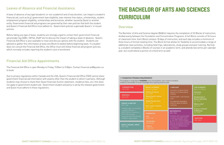### Leaves of Absence and Financial Assistance

A leave of absence of any type (academic or non-academic) and of any duration, can impact a student's financial aid, such as (e.g.) government loan eligibility, loan interest-free status, scholarships, student employment program eligibility, scholarships and bursaries, whether issued by Quest or another entity. Government financial aid programs are governed by their own policies that both the student and Quest's Financial Aid Office must adhere to. Government policies supersede Quest's 'in-house' policies.

Before taking any type of leave, students are strongly urged to contact their government financial aid provider (eg SABC, FAFSA, OSAP etc) to discuss the impact of taking a leave of absence. Quest's Financial Aid Office is also available to meet and discuss options with the student. Students are advised to gather this information at least one Block (4 weeks) before beginning leave. If a student does not consult the Financial Aid Office, the Office must still follow financial aid program policies, which normally includes reporting the student's lack of enrolment.

# Financial Aid Office Appointments

The Financial Aid Office is open Monday to Friday, 9:00am to 5:00pm. Contact financial.aid@questu.ca to book.

Due to privacy regulations within Canada and the USA, Quest's Financial Aid Office (FAO) cannot share government financial aid information with anyone other than the student to whom it pertains. Although students may choose to share their Quest financials (tuition statement, residence fees, etc.) this does not apply to government student aid. Government student aid policy is set by the relevant government and Quest must adhere to these regulations.

# THE BACHELOR OF ARTS AND SCIENCES CURRICULUM

### **Overview**

The Bachelor of Arts and Science degree (BA&Sc) requires the completion of 32 Blocks of instruction, divided evenly between the Foundation and Concentration Programs. A full Block consists of 54 hours of classroom time. Each Block contains 18 days of instruction, and each day includes a minimum of three hours of formal meeting time. The Block format allows for flexibility to accommodate a range of additional class activities, including field trips, laboratories, study groups and peer tutoring. Normally, a student completes 4 Blocks of courses in an academic term, and attends two terms per calendar year, but could attend a portion of a third term as well.

#### 1. FOUNDATION PROGRAM REQUIREMENTS

Any level 2 or above French, Spanish, or Chinese offered at Quest

Ancient Greek 1 and Classical Latin 1

Any approved language at level 2 or above at another institution

**MATHEMATICS** MAT 2BXX

Students who successfully complete two MAT 31XX, or two MAT 32XX at Quest but not at another institution may be exempted from the Foundation Mathematics requirement.

LIFE SCIENCES lect 3 of the 4:

Evolution LIF 2110

liodiversity of **British Columbia** LIF 2210

What is Life? JF 2310

**Science of Health** & Wellness LIF 2410

QUESTION IND 2300

This program is comprised of **16 BLOCKS** across the disciplines, and is meant to introduce students to the breadth of human knowledge while imparting essential skills.

| CORNERSTONE<br>INCL2100                                                                                                  | <b>SOCIAL SCIENCES</b><br>Select 3 of the 4:                                                                                                                                                                                                                                          |
|--------------------------------------------------------------------------------------------------------------------------|---------------------------------------------------------------------------------------------------------------------------------------------------------------------------------------------------------------------------------------------------------------------------------------|
| <b>RHETORIC</b><br>IND 2200                                                                                              | <b>Political Economy</b><br>500 2100<br>Democracy & Justice<br>506-2200                                                                                                                                                                                                               |
| <b>ENERGY &amp; MATTER</b><br>PHY 21XX<br>Students who successfully                                                      | <b>Global Perspectives</b><br>SDC 2300<br>Sell, Culture, Society<br>SOC WIDE                                                                                                                                                                                                          |
| complete Physics 1<br>(PHY 3101) or Chamistry 1<br>(PHY 3201) may be<br>exempted from the Energy<br>& Matter ceguirement | <u>The contract of the contract of the contract of the contract of the contract of the contract of the contract of the contract of the contract of the contract of the contract of the contract of the contract of the contract </u><br><b>HUMANITIES</b><br>Text<br><b>HEIM-PTXX</b> |
| EARTH, OCEANS, SPACE<br>PHY 22XX                                                                                         | Scholarship<br><b>HUM 22XX</b><br>Culture<br><b>FREM 20XX</b>                                                                                                                                                                                                                         |

#### LANGUAGE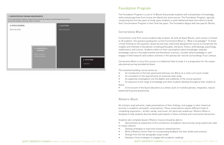# Foundation Program

The Foundation Program is a set of 16 Blocks that provide students with a broad base of knowledge, skills and perspectives from across the liberal arts and sciences. The Foundation Program, typically comprising the first two years of study, gives students a solid intellectual base from which to build their Concentration Program in their final two years. The Foundation begins with two specific Blocks.

#### Cornerstone Block

Cornerstone is the first course students take at Quest. As with all Quest Blocks, each section is limited to 20 students. The question guiding the current Cornerstone Block is, "What is knowledge?" To foster critical thinking on this question, Quest faculty have collectively designed the course to incorporate the insights and methods of disciplines including philosophy, literature, history, anthropology, psychology, mathematics and science. Students reflect on their assumptions about knowledge; evaluate knowledge claims in the experimental and theoretical sciences; consider what knowledge is; and engage in field research and outdoor activities in the spectacular natural surroundings of our campus.

Cornerstone Block is not a first course in a traditional field of study. It is a preparation for the unique educational journey provided by Quest.

This essential building course serves as:

- An introduction to the fast-paced and intensive one-Block-at-a-time curriculum model
- An orientation to the requirements of university-level study
- An expansive investigation into the depths and subtleties of the course question

• An exposure to the range of knowledge and skills students develop throughout their studies at

Quest

• A microcosm of the Quest education as a whole, built on multidisciplinary, integrative, inquirybased learning and questioning

### Rhetoric Block

All scholars read and write, make presentations of their findings, and engage in other rhetorical pursuits in academic and public conversations. These conversations require different kinds of compelling arguments— written, verbal, and visual—for particular audiences. Rhetoric Block is designed to help students become better participants in these scholarly and community interactions.

Students who complete Quest's Rhetoric Course should be able to: • Demonstrate an awareness of the conventions of academic discourse by using a particular style

• Write a Rhetoric Action Plan for incorporating feedback into their drafts and revisions

- to create citations
- Develop strategies to overcome research-related barriers
- 
- Diverge from the five-paragraph essay model
- Develop critical strategies to engage with academic readings

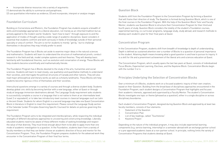- Incorporate diverse resources into a variety of arguments:
- (1) demonstrate the ability to summarize and paraphrase;

(2) use quantitative information as evidence; (3) and incorporate, interpret or analyze images

#### Foundation Curriculum

Building on Cornerstone and Rhetoric, the Foundation Program has students acquire a breadth of skills and knowledge appropriate to a liberal education, not merely as an inherited tradition but as actively applied to the modern world. Students "learn how to learn" through exposure to and the application of modes of thought used by a wide range of academic disciplines. Quest considers it essential that students confront and work seriously in fields of knowledge outside of their personal specialty or area of comfort. The aim is not for students to merely "get by," but to challenge themselves in disciplines they may initially prefer to avoid.

The Foundation Program has 6 Blocks set aside to examine major ideas in the natural sciences and mathematics. Students will learn to understand the structure of mathematical proofs, conduct research in the field and lab, model complex systems and test theories. They will develop basic familiarity with foundational theories, such as evolution and conservation of energy. These Blocks will help students become scientifically and mathematically literate.

The Foundation Program has 6 Blocks devoted to the study of the arts, humanities and social sciences. Students will learn to read closely, use qualitative and quantitative methods to understand their societies, and interrogate the political structures of Canada and other nations. They will also read major philosophical and literary works as well as scholarly landmarks. These Blocks will help students become rigorous critics of themselves and their societies.

Intercultural questions emerge in a variety of courses and through a diverse student body. Students develop global civic skills by becoming familiar with a new language, either at Quest or through study at language immersion destinations abroad. The Language Study requirement asks students to successfully complete a course in a language that is not native to them at an intermediate level (Level 2 or equivalent), or to take two introductory-level courses in classical languages such as Latin or Ancient Greek. Students for whom English is a second language may take one Quest Concentration Block in literature in English to meet this requirement. Please consult the Language Study section of the Calendar (under Principles Governing Specific Courses) for details on policies governing this requirement.

The Foundation Program aims to be integrated and interdisciplinary, while respecting the individual strengths of different disciplinary approaches to uncovering and constructing knowledge. Liberally educated students need to be aware of these different modes of seeking knowledge and respect the value of that diversity. They must know enough about them to be able to apply more than one mode of academic investigation to a question. In the Foundation, students learn from a variety of faculty members so that they can better choose an academic direction of focus and mentor for the Concentration Program. Thus, the Foundation Program prepares students for the advanced work they encounter in the Concentration Program of their final four terms.

#### Question Block

Students shift from the Foundation Program to the Concentration Program by forming a Question that will frame their direction of study. The Question is formed during Question Block, which is one of the final courses in the Foundation Program. With the help of the Question Block Tutor and Faculty Mentor, students use Question Block to structure their Concentration Program for their third and fourth years of study. Question Block considers the totality of the student's Foundation courses, experiential learning, co-curricular programs, language study, study abroad, and research methods to develop each student's plan for their final years at Quest.

#### Concentration Program

In the Concentration Program, students shift from breadth of knowledge to depth of understanding. Depth is defined as sustained attention over a number of Blocks to a question of personal importance to the student. Attaining depth means knowing what a good question is and how to pursue its inquiry. It is a skill for life and a preeminent achievement of the liberal arts and sciences education at Quest.

The Concentration Program, which usually spans the last two years at Quest, consists of individualized Focus Blocks, Experiential Learning, Electives, and the Keystone Block. Concentration Blocks begin with the number 3 or 4.

### Principles Underlying the Selection of Concentration Blocks

Over a minimum of 6 Blocks, students work on a focused academic inquiry of their own creation, based on their Question. Building from the broad base of disciplinary approaches encountered in the Foundation Program, each student designs a Concentration Program that highlights and focuses their academic interests, approved and supervised by a Faculty Mentor. The student's Concentration Blocks investigate one topic or theme (phrased as a question), either in a single discipline or across disciplinary boundaries.

Each student's Concentration Program, designed during Question Block and approved by at least two faculty members, consists of four elements:

- 1. Statement of the Question
- 2. Concentration Plan
- 3. List of key readings, called "Touchstones"
- 4. Keystone Project

Depending on the nature of the individual program, it may also include experiential learning components (e.g. service learning, internship) or a semester abroad with an exchange partner school or a pre-approved academic leave at a non-partner school. In principle, nothing limits the variety of Concentration Programs that students develop at Quest.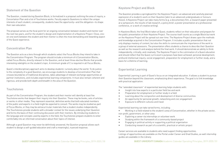#### Statement of the Question

The Question, created during Question Block, is formalized in a proposal outlining the area of inquiry, a Concertation Plan and a list of Touchstone works. Faculty expects Questions to reflect the unique interests of each student; consequently, students have the opportunity—and the obligation—to shape their own education.

The proposal serves as the focal point for an ongoing conversation between student and mentor over the next two years, and for the student's design and implementation of a Keystone Project. Close, oneon-one work between the student and their mentor is often the most demanding and rewarding aspect of the Quest experience.

#### Concentration Plan

The Question acts as a lens through which students select the Focus Blocks they intend to take in the Concentration Program. The program should include a minimum of 6 Concentration Blocks, called Focus Blocks, directly relevant to the Question, and at least three elective Blocks that provide interesting sidelights on the student's topic. A minimum grade of C is required in all Focus Blocks.

Quest's interdisciplinary approach aims to develop students' curiosity about the world. To do justice to the complexity of a good Question, we encourage students to develop a Concentration Plan that crosses boundaries of traditional disciplines, takes advantage of relevant exchange opportunities at partner institutions, and includes experiential learning components. It must also remain coherent and rigorous, and provide both depth and breadth in the area of the Question.

#### **Touchstones**

As part of the Concentration Program, the student and their mentor will identify at least five Touchstone works that deepen their inquiry into their Question. These may be books, sets of articles or works in other media. They represent essential, definitive works that both educated members of the public and experts in a field might be expected to consult. The works may be studied as part of Focus Blocks, or they may be extracurricular materials that a student studies independently. The Touchstones provide students with a broader context for the issues underlying their Question and forms the basis of their continuing discussion with their mentors. By introducing students to the language and concepts used by experts in the field, the Touchstones prepare students to enter comfortably into an informed conversation about their topics of interest.

- Insight into how experts in a particular field live and work
- Preparation for employment or further study in a field
- Learning about the composition and development of diverse communities
- An opportunity for personal growth, networking and civic engagement
- Exposure to different cultures and travel

Although a good Question may never be definitively answered, the Question proposal allows each student to design a self-guided education and craft a meaningful, nuanced response.

### Keystone Project and Block

The Question provides a springboard for the Keystone Project—an advanced and carefully planned expression of a student's work on their Question (akin to an advanced undergraduate or honours thesis). A Keystone Project can take many forms (e.g. a documentary film, a research paper presented at a symposium, the results of lab research, a policy brief, a poster presentation at a professional conference, or a work of creative writing).

In Keystone Block, the final Block taken at Quest, students reflect on their education and prepare for the public presentation of their Keystone Project. The course itself counts as a single Block but work on the Keystone Project will be spread out over time. The Keystone Project draws upon the methods and knowledge acquired in the Concentration Program. It includes a public presentation that not only displays mastery of content, but also the skills to communicate the importance of the work to a group of external assessors. The presentation offers students a chance to describe their Question as well as the research and analysis behind the final work. It should demonstrate an ability to think independently, critically, and creatively. The Keystone Project is the culmination of a Quest education and should reflect that the Quest curriculum's purposes have been achieved: personal development, profound intellectual inquiry, social engagement, preparation for employment or further study, and a basis for a lifetime of learning.

#### Experiential Learning

Experiential Learning is part of Quest's focus on an integrated education. It allows a student to pursue their Question beyond the classroom, emphasizing direct experience. The goal is to link knowledge with practical application.

The "extended classroom" of experiential learning helps students with:

Experiential learning can take varied forms, including: • Working in a field related to the student's area of Concentration, whether in the private sector,

- non-profit, government, or other area
- Exploring a career via internships or volunteer work
- Studying within the framework of a community-based project
- Engaging in political activity or supporting a political organization
- Conducting research as part of a scientific, practical or artistic project

Career services are available to students who need support finding opportunities. Listings of opportunities are available on the Portal under Career and Grad Studies, as well internship guides are available in the Library.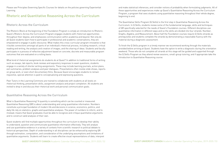Please see Principles Governing Specific Courses for details on the policies governing Experiential Learning.

# Rhetoric and Quantitative Reasoning Across the Curriculum

#### Rhetoric Across the Curriculum

The Rhetoric Block at the beginning of the Foundation Program is simply an introduction to Rhetoric. Quest's Rhetoric Across the Curriculum Program engages students with rhetorical opportunities throughout their degree, and emphasizes communication within academia and beyond. Not only do all Quest students learn how to participate in professional and academic conversations, they are empowered to engage in public discourse. What makes this cross-curricular program innovative is that it builds connections amongst all parts of an individual's rhetorical process, including research, critical reading and writing, the analysis and creation of images, and the sharing of ideas. Students and faculty participate in a process of reflective adjustment based on concrete, discrete and measurable program outcomes that are evaluated on a rolling basis.

What kind of rhetorical assignments do students do at Quest? In addition to traditional forms of writing such as essays, lab reports, book reviews and expository responses to exam questions, students engage in a variety of shorter writing assignments. These may include learning journals, action plans, exit summaries, problem analyses and peer dialogues. Presentations often involve slide shows, reports on group work, or even short documentary films. Because Quest encourages students to remain inquisitive, special attention is paid to conceptualizing and expressing questions.

Peer Tutors in the Learning Commons are trained to collaborate with students at all levels on rhetorical thinking, presentation skills, assignment analysis and project completion. All students are invited to drop in and discuss their rhetorical work and personal communication goals.

#### Quantitative Reasoning Across the Curriculum

What is Quantitative Reasoning? A quantity is something which can be counted or measured. Quantitative Reasoning (QR) is about understanding and using quantitative information. Numbers constitute a principal foundation of modern life and decisions in science, economics, politics, and daily life rely on statistics, graphs and quantitative analyses. The power of numbers to inform, and to mislead, means that Quest graduates must be able to recognize and critique quantitative arguments and to construct valid analyses of their own.

Quest students will find multiple opportunities throughout the curriculum to develop their ability to understand, question and communicate quantitative information effectively. They will analyze and use quantitative evidence in a variety of contexts from scientific research to political debate to historical perspectives. Depth of understanding in all disciplines can be enhanced by exploring QR through estimation, computation, and consideration of the underlying assumptions and limitations of quantitative arguments. Students will learn to create effective visual representations of data, interpret

QUEST UNIVERSITY CANADA Academic Calendar Operating Principles, 2019-2020 / 52 QUEST UNIVERSITY CANADA Academic Calendar Operating Principles, 2019-2020 / 53

and make statistical inferences, and consider notions of probability when formulating judgments. All of these opportunities and experiences make up Quest's Quantitative Reasoning Across the Curriculum Program, a program that sees students using quantitative reasoning throughout their whole degree, beginning to end.

The Quantitative Skills Program (Q Skills) is the first step in Quantitative Reasoning Across the Curriculum. In Q Skills, students review some of the fundamental language, skills and techniques of QR specifically selected for the needs of Quest's Foundation courses. Different disciplines use quantitative information in different ways and so the skills are divided into four strands: Number, Graphs, Algebra, and Measurement. About half the Foundation courses require Q Skills strands as prerequisites and students complete the strands by demonstrating a reasonable fluency with the material during a diagnostic assessment.

To finish the Q Skills program in a timely manner we recommend working through the materials provided before arriving at Quest. Students have the option to write a diagnostic during the orientation weekend. Those who do not complete all strands at this stage will be guided and supported through the Q Skills Program as they attend review sessions, small-group tutoring, and if appropriate take the Introduction to Quantitative Reasoning course.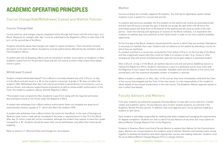#### QUEST UNIVERSITY CANADA Academic Calendar Operating Principles, 2019-2020 / 54 QUEST UNIVERSITY CANADA Academic Calendar Operating Principles, 2019-2020 / 55

#### **Waitlist**

# ACADEMIC OPERATING PRINCIPLES

# Course Change/Add/Withdrawal (Leave) and Waitlist Policies

#### Course Change/Add

Course selection and changes may be completed online through Self-Serve until the end of day 1 of a Block. Requests for changes after day 1 must be submitted to the Registrar's Office no later than 4:30 p.m. on the second day of the Block.

Students should be aware that changes are subject to space limitations. There should be minimal disruption to the start of a Block. Exceptions must be authorized by affected faculty members and the Chief Academic Officer.

A student who will be dropping a Block and not enrolling in another must submit an Academic or Nonacademic Leave Form for the period of leave and will not receive a tuition credit unless three weeks' notice is given.

#### Withdrawal (Leave)

Student-initiated withdrawal (leave)\* from a Block is normally allowed only until 4:30 p.m. on day 6 of the Block and will result in a 'W' on the student's transcript. A grade of 'W' does not affect the student's GPA. Withdrawal after day 6 will only be permitted in extraordinary circumstances, such as serious illness, and requires supporting documentation as well as review and/or authorization of the Tutor, the student's academic advisor and the Registrar's Office.

\*The student must complete the Non-Academic Leave Form along with the required verification documentation found on the Portal under the Registrar's Office.

A student who withdraws from a Block without authorization (does not complete the leave form) automatically receives a grade of 'F', which will affect the student's GPA.

A student who withdraws from a Block forfeits the tuition for that Block. In the case of Emergency/ Medical Leave, tuition credit will be considered if the leave is requested prior to day 10 of the Block. After day 10, tuition credit will not be considered, although the student may request to have their grade reviewed for a 'W'. Students should be aware that course withdrawals may affect their financial aid eligibility.

Refer to section 6.7, Refund of Fees and Charges for more details.

Courses at Quest are normally capped at 20 students. The Self-Serve registration system allows students to join a waitlist for courses that are full.

If a waitlist spot becomes available, the first student on the waitlist will receive an automated email and will have 48 hours to accept the spot. If they do not accept the spot within the 48 hours the automated system will drop them to the bottom of the waitlist and will send an email to the next person. Given the intensity and rapid pace of courses on the Block schedule, it is imperative that students on waitlists pay close attention to their Quest email in order to not miss a waitlist available opportunity.

On the first day of the Block, students should attend the course in which they are enrolled. Attendance is necessary to maintain their seat. Students will not advance on the waitlist by attending a course for which they are waitlisted.

If a student enrolled in a course has contacted the Tutor before 3:30 p.m. on the first day of the Block and has a legitimate reason why they could not make it to campus on day 1 (e.g. illness or other emergency), they will remain enrolled and their spot will not be given away to a waitlisted student.

After 4:30 p.m. on day 1 of the Block, all waitlists become null and void and an Add/Drop session is held by the Registrar's Office. Students interested in a spot in a waitlisted course must meet with the Registrar to see if space has become available. Available seats will be filled on a first come, first served basis until the maximum allowable number of students is reached.

When a student is added on, or after, day 1 of the course, they must immediately notify both the Tutor of the course they dropped and the Tutor of the new course. It is the responsibility of the student to obtain details of any missed assignments in the new course. The Academic Advisor approval system is also in effect (see below).

### Faculty Advisors and Mentors

First-year students are arbitrarily assigned a Faculty Advisor to help with course selection, transfer credits and academic advice. Faculty Advisors also monitor student progress, as outlined in the Academic Review Process section. In addition, they must approve each course selection made by a student on Self-Serve.

Each student is ultimately responsible for seeking help when needed and managing the requirements for degree completion. Students are free to switch Faculty Advisors at any time, but must submit an Advisor/Mentor Change Request Form to the Registrar.

Students in Question Block must find a Faculty Mentor to replace their Advisor for the Concentration years. Mentors are chosen based on the student's area of interest. Mentors and mentees work closely together to develop the Question and select appropriate courses and reading materials. Students must fill out an Advisor/Mentor Change Request Form to change mentors.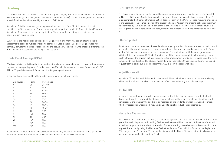# Grading

The majority of courses receive a standard letter grade ranging from 'A' to 'F' (Quest does not have an A+). Each letter grade is assigned a GPA (see the GPA table below). Grades are assigned after the end of each Block and can be viewed by students on Self-Serve.

A grade of 'D' is the minimum grade to pass and receive credit for a Block. However, it is not considered sufficient when the Block is a prerequisite or part of a student's Concentration Program. A grade of 'C' or higher is normally required for Blocks intended to satisfy prerequisites and Concentration requirements.

Quest tutors are not required to use a percentage system and many will assign letter grades to assessments based on rubrics or grading standards. Blocks that do use percentage grades will normally convert them to letter grades using the scale below. Instructors who choose a different scale must indicate the scale they are using in their syllabus.

#### Grade Point Average (GPA)

GPA is calculated by dividing the total number of grade points earned for each course by the number of courses carrying grade points. Excluded from the GPA calculation are all courses for which an 'I', 'W', 'AU', or 'P' grade is awarded. Quest uses the 4.0 grade point system.

Grade points are assigned to letter grades according to the following scale:

| GradeGrade | Point | Percentage |
|------------|-------|------------|
| А          | 4.0   | 94-100     |
| А-         | 3.7   | 90-93      |
| B+         | 3.3   | 87-89      |
| B          | 3.0   | 84-86      |
| B-         | 2.7   | 80-83      |
| C+         | 2.3   | $77 - 79$  |
| C          | 2.0   | 74-76      |
| $C -$      | 1.7   | 70-73      |
| D          | 1.0   | 60-69      |
| F          | 0.0   | $0 - 59$   |
| P          | N/A   | N/A        |
| <b>NP</b>  | 0.0   | $0 - 59$   |
| W          | N/A   | N/A        |
| I          | N/A   | N/A        |
| AU         | N/A   | N/A        |

In addition to standard letter grades, certain notations may appear on a student's transcript. Below is an explanation of these notations as well as information on Narrative Evaluations.

The Cornerstone, Question and Keystone Blocks are automatically assessed by means of a Pass (P) or No Pass (NP) grade. Students wishing to have other Blocks, such as electives, receive a 'P' or 'NP' must complete the Change of Grading Option Request Form on the Portal l. These requests are subject to the approval of the course Tutor and the student's Faculty Advisor. The grading option request must be submitted by 4:30 p.m. on the 6th day of the Block. A grade of 'P' is not factored into a student's GPA. A grade of 'NP' is calculated as a zero, affecting the student's GPA in the same way as a grade of 'F.'

### I (Incomplete)

If a student is unable, because of illness, family emergency or other circumstance beyond their control to complete the work in a course, a temporary grade of 'I' (Incomplete) may be awarded by the Tutor until unfinished course requirements are completed. The student has until the date agreed upon with the Tutor (not to exceed 2 Blocks from the end of the course) to complete all remaining course work'; otherwise the student will be awarded a letter grade, which may be an 'F', based upon the work completed by the deadline. The student must fill out an Incomplete Grade Request Form. The signed request form must be submitted no later than 4:30 p.m. on the last day of class.

#### W (Withdrawal)

A grade of 'W' (Withdrawal) is issued for a student-initiated withdrawal from a course (normally only within the first six days of a Block) and does not affect the student's grade point average.

#### AU (Audit)

In some cases, a student may, with the permission of the Tutor, audit a course. Prior to the third day of the Block, the Tutor and the student should determine the requirements for attendance and participation, and whether the audit is to be recorded on the student's transcript. Audited courses, whether recorded or unrecorded, may not be used to satisfy graduation requirements.

### Narrative Evaluation

For any course, a student may request, in addition to a grade, a narrative evaluation, which Tutors may give either orally in person or in writing. Written evaluations will become part of the student's record, but will not appear on the student's transcript. Students wishing to receive a narrative evaluation must request this option by using the Narrative Evaluation Request Form which is found on the Registrar's Office page on the Portal by 4:30 p.m. on the sixth day of the Block. Students automatically receive a narrative evaluation for Cornerstone Block.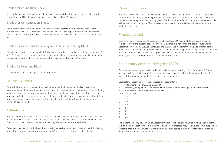#### Grades for Foundation Blocks

All Foundation Program Blocks, except for Cornerstone and Question, are assigned a letter grade. Cornerstone and Question are assigned a Pass (P) or No Pass (NP) grade.

#### Grades for Concentration Blocks

Focus Blocks that constitute a student's Concentration Program must be assigned letter grades. A minimum grade of 'C' is required to satisfy the Concentration requirements. Normally, Elective courses receive a letter grade, but students may request that electives be assessed on a 'P' or 'NP' basis.

#### Grades for Experiential Learning and Independent Study Blocks

Experiential Learning and Independent Study courses may be assigned either a letter grade, or a 'P' or 'NP' grade. The assessment type is at the academic advisor's discretion and must be noted in the Experiential Learning Plan or Independent Study Form before the start of the course.

#### Grades for Keystone Block

The Keystone Course is assigned a 'P' or 'NP' grade.

# Course Syllabus

Tutors shall provide written guidelines to all students at the beginning of the Block regarding assignments and the determination of grades. Any information about assessment practices, including make-up requirements for missed examinations because of short-term illness or other emergencies, must be clarified. If Tutors are using a percentage-score to letter-grade conversion scale that differs from Quest's usual scale, this scale must be indicated in the syllabus. This information may be provided through Moodle.

### Attendance

Students who expect to miss course activities because of religious or family considerations are advised to contact their Tutors well in advance, or as soon as possible in cases of an unanticipated absence. Quest is committed to supporting student learning when absences are unavoidable.

Because of the intensity of the Block Plan, missing excessive amounts of class may result in a failing grade. Each Tutor decides how many unexcused absences will constitute an automatic Fail.

# Retaking Courses

Students may retake a course in which they did not receive a passing grade. This may be required if a student receives a 'D' or lower in a prerequisite or Focus Course. Students may also elect to retake a course in which they received a passing grade. Credit will be awarded only once, and the higher grade will be used in calculating the GPA. However, all courses that are retaken will be recorded on the student's transcript.

# President's List

Each term, Quest recognizes its best students by bestowing Presidential Honours on a group not to exceed 10% of the student body. The President awards this honour on the basis of outstanding academic achievement. Evaluation includes the GPA earned in that term as well as contributions to the life of the University and progress toward a position of leadership in the student's chosen field. Only full-time students (with three or more graded Blocks) in good standing (as determined by Offices of Finance, Registrar and Student Life) are eligible for this award.

# Satisfactory Academic Progress (SAP)

Satisfactory academic progress toward a degree is defined as earning credits for at least 3 Blocks per term, with six Blocks completed per academic year, typically in the fall and spring terms. The successful completion of 32 Blocks is required for graduation.

Satisfactory academic progress is assessed on these criteria:

• Normally, completion of the degree within six years of registering as a full-time student

- Attainment of a cumulative GPA of 2.0
- 
- A minimum GPA in each term, as follows: Term Term GPA

| 1 | 1.6 |
|---|-----|
| 2 | 1.8 |
| 3 | 2.0 |
| 4 | 2.0 |
| 5 | 2.0 |
| 6 | 2.0 |
| 7 | 2.0 |
|   | 2.0 |

The student's Faculty Advisor, Chief Academic Officer or the Registrar's Office reviews each student's SAP at the end of each term. Failure to make satisfactory progress may result in academic suspension. Students should also be aware that maintaining full-time status is often necessary for maintaining both external and institutional financial aid.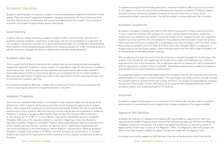# Academic Standing

Academic standing refers to how well a student is meeting expectations toward the fulfillment of their degree. There are several categories of academic standing, listed below. For those other than Good Standing, there may be consequences and requirements placed upon the student. The procedure is outlined in the Student Progress Group section that follows.

#### Good Standing

Students who are making satisfactory academic progress (SAP) at the University, who are not on academic warning, probation, suspension, or dismissal, who are not on probation or suspension for non-academic misconduct, and who are in good standing financially, are considered in Good Standing. Only students in Good Standing may participate in off-campus programs for credit, including study at a partner university, language immersion or Experiential Learning outside Squamish.

#### Academic Warning

This is usually the first level of intervention for students who are not making satisfactory progress toward their degree for academic or other reasons. It is intended to make the deficiencies in academic performance clear, to put forward concrete proposals and requirements, and to allow students a reasonable amount of time to correct those deficiencies according to the terms of their Academic Warning Learning Contract. Students who fulfill all the requirements of their Learning Contract may be removed from academic warning.

Once placed on Academic Warning, a student who is receiving US Title IV financial assistance may continue receiving assistance for one payment period, or one term.

#### Academic Probation

This is the second level of intervention. It is intended to make students aware that the gravity of the deficiencies in their academic performance puts them at risk of losing the opportunity to study at Quest, either temporarily (suspension) or permanently (dismissal). Students who fail to meet all the requirements of their Academic Warning Learning Contract may be placed immediately on Academic Probation. A student on Academic Warning who does not meet the minimum GPA for the term, or who receives an 'F' or 'NP' in 1 or more Blocks, may also be immediately placed on Academic Probation. When one of the required conditions is not met—triggering a move from Academic Warning to Academic Probation—a Student Progress Group (see below) will meet to review the terms of the original Learning Contract, revising it as required, and re-submitting it if appropriate with new recommendations to the Chief Academic Officer (CAO) for implementation. While on Academic Probation, a student must achieve a 2.0 GPA for the term, and pass all courses with a 'C' or better. Students who fulfill all the requirements of their Learning Contract may be removed from Academic Probation.

QUEST UNIVERSITY CANADA Academic Calendar Operating Principles, 2019-2020 / 60 QUEST UNIVERSITY CANADA Academic Calendar Operating Principles, 2019-2020 / 61

 A student receiving US Title IV funding who fails to meet their Academic Warning Learning Contract is still eligible to receive this aid during the following term they are on Academic Probation. Unless a student achieves Satisfactory Academic Progress at the end of this term, or fulfills all the requirements of their Learning Contract, they will be unable to receive additional Title IV funding.

#### Academic Suspension

A student on Academic Probation who fails to fulfill all the requirements of their Learning Contract, or fails to meet the minimum GPA and pass all courses, may be placed on Academic Suspension. Suspensions are entered on the student's transcript as part of their academic record. The suspended student must meet with the CAO, who establishes the conditions that the student must meet prior to returning to the University. A student who is suspended must move off campus within 24 hours, unless they receive an exemption from the Dean of Student Life or their delegate. While on suspension, a student may not visit the Quest campus, unless with permission from the CAO or Dean of Student Life for the purposes of attending relevant meetings.

After an absence of at least two terms from the University, a student may apply for re-admission. The student must include with their application for re-admission a letter that addresses the conditions imposed at the time of the Suspension. The re-admission decision is made by the CAO in consultation with the appropriate members of faculty and staff. Suspended students must re-apply for all types of institutional financial aid (scholarships and bursaries).

If a suspended student is receiving student loans from Canada or the US, the University must notify the relevant bodies of a change in enrolment status. This may impact loan disbursements already received, the student's ability to receive further loan funding, and more. The student is responsible for reviewing the policies of their lender. Further information can be found at each Canadian provincial student assistance website and studentloans.gov for US students.

#### Dismissal

A student is subject to Dismissal from the University if the CAO decides that the student's academic performance is unsatisfactory to such a degree that it makes completion of the degree unlikely.

#### Appeal of SAP Decision

A student not making, or in danger of not making, SAP should take the opportunity to state their case during the Student Progress Group meeting that normally precedes any SAP decision (Warning, Probation, Suspension, Dismissal). The student may appeal the decision by submitting a letter of appeal, either in hard copy or email, to the Registrar's Office. The Registrar's Office will present the letter to the Chief Academic Officer for review. The decision made after the appeal is final.

If a student successfully appeals an SAP decision, they may, at the discretion of the Financial Aid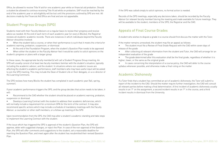Office, be allowed to receive Title IV aid for one academic year while on financial aid probation. Should a student be allowed to continue receiving Title IV aid while on probation, SAP must be reached by the end of the academic year or aid eligibility will be lost until the provisions outlined by SPG are met. All decisions made by the Financial Aid Office are final and are not appealable.

# Student Progress Groups (SPG)

Students meet with their Faculty Advisors on a regular basis to review their progress and receive advice as needed. At the end of each term of each academic year (or every 4 Blocks), the Registrar reviews all students' academic records. There are instances in which individuals beyond the Faculty Advisor should be involved:

- When the student fails a course, or when their performance is such that it meets the criteria for academic warning, probation, suspension, or dismissal
- At the end of the Foundation Program, when the student's Question Plan needs to be approved
- When either the student or the Faculty Advisor feel it would be useful to solicit opinions on the student's progress or plans with a larger group

In these cases, the appropriate faculty member(s) will call a Student Progress Group meeting. An SPG will usually consist of at least two faculty members familiar with the student's situation, typically including the academic advisor, and the student. In situations where non-academic issues are affecting the student's academic performance, staff members who may have useful input will be asked to join the SPG meeting. This may include the Dean of Student Life or their delegate, or a co-director of the Learning Commons.

The SPG reviews how many Blocks the student has completed in each academic year (fall, spring, summer).

If poor academic performance triggers the SPG, and the group decides that action needs to be taken, it will:

• Recommend to the CAO whether the student should be placed on academic warning, probation, suspension or dismissal

• Develop a Learning Contract with the student to address their academic deficiencies, which will normally include a requirement for a minimum GPA for the term of the contract. It may also recommend specific actions which may include a schedule of mandatory meetings with the Faculty Advisor, a counsellor or other staff members, or a follow-up meeting of the SPG

Upon recommendation from the SPG, the CAO may alter a student's academic standing and take steps to implement the Learning Contract with the student.

If the issue which has triggered the SPG is approval of the student's Question Plan, the SPG will approve, defer with suggested changes, or reject the Plan. In case of the non-approval of the Question Plan, the SPG will offer comments and suggestions to the student, set a reasonable deadline for rewriting the Question Plan, and meet again after the student has resubmitted their revised Question Plan.

QUEST UNIVERSITY CANADA Academic Calendar Operating Principles, 2019-2020 / 62 QUEST UNIVERSITY CANADA Academic Calendar Operating Principles, 2019-2020 / 63

If the SPG was called simply to solicit opinions, no formal action is needed.

Records of the SPG meetings, especially any decisions taken, should be recorded by the Faculty Advisor (or relevant faculty member) during the meeting and made available for future meetings. They will be available to the student, members of the SPG, the Registrar and the CAO.

# Appeals of Final Course Grades

A student who wishes to dispute a grade in a course should first discuss the matter with the Tutor.

If the matter remains unresolved, the student may file an appeal as follows:

• The student must file a Review of Final Grade Request with the CAO within seven days of

- release of the grade
- After collecting all relevant information from the student and Tutor, the CAO will arrange for an independent evaluation of the grade
- The grade determined after this evaluation shall be the final grade, regardless of whether it is higher, lower, or the same as the original grade
- In cases concerning the interpretation of a course policy, the CAO will defer to the course syllabus whenever possible, and otherwise make a final ruling on the matter

# Academic Dishonesty

If a Tutor finds that a student has committed an act of academic dishonesty, the Tutor will submit a report of the incident to the CAO. Should the matter require further investigation, the CAO will consult all relevant parties before making a final determination. A first incident of academic dishonesty usually results in an 'F' on the assignment, a second incident results in an 'F' in the course, and a third incident results in dismissal from the University.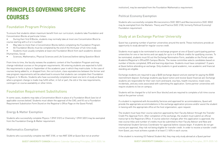QUEST UNIVERSITY CANADA Academic Calendar Operating Principles, 2019-2020 / 64 QUEST UNIVERSITY CANADA Academic Calendar Operating Principles, 2019-2020 / 65

# PRINCIPLES GOVERNING SPECIFIC **COURSES**

# Foundation Program Principles

To ensure that students obtain maximum benefit from our curriculum, students take Foundation and Concentration Blocks at particular times:

- During their first 8 Blocks, students may normally take at most one Concentration Block (a course starting with a 3 or 4 number)
- May take no more than 4 Concentration Blocks before completing the Foundation Program
- All Foundation Blocks must be completed by the end of the third year of full-time study
- Students must usually complete at least one Foundation Block from each academic division (Humanities, Social
- Sciences, Mathematics, Physical Sciences and Life Sciences) before taking Question Block

From time to time, the faculty reviews the academic content of the Foundation Program and may change individual courses or the program requirements. All entering students are expected to fulfill the requirements in place in September of the academic year in which they matriculate. In the case of courses being added to, or dropped from, the curriculum, class equivalencies between the former and new program requirements will be advertised to ensure that students can complete their Foundation Program in 16 Blocks. Students who have successfully completed at least one term of study at Quest when a program change is made may fulfill either, in full or part, the old or the new requirements, contingent on course availability or other limits.

# Foundation Requirement Substitutions

In some cases, students may take a Concentration Block in place of a Foundation Block (see list of applicable courses below). Students must obtain the approval of the CAO, and fill out a Foundation Requirement Substitution Form (found on the Registrar's Office Page on the Quest Portal).

#### Energy & Matter Exemption

Students who successfully complete Physics 1 (PHY 3101) or Chemistry 1 (PHY 3201) may be exempted from the Foundation Energy & Matter requirement.

#### Mathematics Exemption

Students who successfully complete two MAT 31XX, or two MAT 32XX at Quest (but not at another

### Political Economy Exemption

Students who successfully complete Microeconomics (SOC 3001) and Macroeconomics (SOC 3002) may be exempted from the Markets: Theory and Practice (SOC 2100, formerly Political Economy) Foundation requirement.

# Study at an Exchange Partner University

Quest has a growing number of partner universities around the world. These institutions provide an opportunity to study abroad for regular course credit.

Students must apply to be nominated to an exchange program at one of Quest's participating partner universities for one or two terms and can apply for up to 4 or 8 Block credits for qualifying courses. To be nominated, students must fill out the Exchange Nomination Form, available on the Portal under Academic/Registrar's Office/Off-Campus Blocks. The review committee selects candidates based on number of blocks completed, GPA and learning objectives. Students must have completed 1.5 years at Quest before attending an exchange. Only students in good academic, non-academic and financial standing are eligible.

Exchange students are required to pay a \$400 exchange deposit and are exempt for paying the \$500 reenrollment deposit. Exchange students pay Quest tuition and receive Quest financial aid. Exchange students are responsible for their own room and board, visa fees, health insurance, travel costs, incidentals, and any costs associated with submitting the application. Some partner universities will require students to live on campus.

Students will be charged for a full term (four blocks) and are required to complete a full-time course load at the partner school.

If a student is registered with Accessibility Services and approved for accommodations, Quest will provide the appropriate accommodations in the exchange application process and/or assist the student in liaising with the appropriate office at the host organization, upon request.

The student must have their course selection approved by their Faculty Advisor through the Transfer Credit Pre-Approval Form. After completion of the exchange, the student must submit an official transcript to the Registrars Office. If course selection changes after this application is approved, the new course titles and number of credits must be submitted to their Faculty Advisor and New and International Student Services Coordinator for approval before classes begin. If students do not get course pre-approval, they risk not being eligible for transfer credit. In order to receive a transfer credit from Quest, you must achieve a grade of at least C / 65% in each course.

If the student is receiving US Federal Student Aid, they may only study abroad at a Quest partner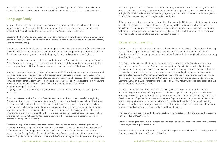university that is also approved for Title IV funding by the US Department of Education and cannot study at a partner university in the US. For more information please email financial.aid@questu.ca .

### Language Study

All students must take the equivalent of one course in a language not native to them at Level 2 or higher, or two Level 1 courses of a classical language. Classical language means a language of antiquity with a significant body of literature, including Ancient Greek and Latin.

Students who have studied a language and wish to continue must take the appropriate diagnostics to determine level (for French and Spanish) or must receive permission from the instructor (for Chinese, Latin or Ancient Greek).

Students for whom English is not a native language may take 1 Block of a literature (or similar) course in English at the Concentration level. Students must submit the Language Requirement Substitution Form, have it approved by a member of the language faculty, and submit it to the Registrar.

Credits taken at another university before a student enrolls at Quest will be reviewed by the Transfer Credit Committee. Language credit may be granted for successful completion of one university-level course beyond Level 1. All transfer requests must be made in a student's first term at Quest.

Students may study a language at Quest, at a partner institution while on exchange, or at an approved institution in an immersion destination. The current list of approved institutions is available on the Portal under Academics/Off-Campus Blocks. Additional options can be discussed with the Coordinator, New and International Student Services. The purpose of the list is to protect students from fraudulent providers and to ensure academic rigour. This list may be updated without notice.

Foreign Language Study Abroad

Language study at other institutions is governed by the same policies as study at a Quest partner university.

For a course taken outside Quest, the first 48 class hours (minimum three weeks) of a Beginning Course constitute Level 1. If that course exceeds 96 hours and is at least six weeks long, the student is considered to have completed a Level 1 and a Level 2 course. Students may transfer up to two language courses from a program at an immersion destination, with one counting as the language requirement and the other as an elective. Students are responsible for paying all fees to the other program/institution (e.g. room and board, travel expenses, support, health insurance). Quest tuition and financial aid will not apply for language study at another institution or program, unless it is undertaken at a partner university.

Students must petition for language credit before attending the course by submitting the online Language Immersion Application Form available on the Portal under Academics/Registrar's Office/ Off-campus blocks/Language, at least 30 days before the course. The application requires the approval of the Faculty Advisor, Financial Aid Office, and Coordinator, New and International Student Services. Eligible students will have a minimum 2.5 GPA and be in good standing—academically, non-

academically and financially. To receive credit for the program students must send a copy of the official transcript to Quest. The language requirement is satisfied only by a course at the equivalent of Level 2 or higher. To obtain credit for a non-Quest language program, students must earn a minimum grade of 'C' (65%), but the transfer credit is registered as credit only.

If the student is receiving student loans from either Canada or the US, there are limitations as to when and where language course may be taken. For Canadian and US loan recipients the student must undertake their language immersion course at US and Canadian government-approved institutions, or take their language course(s) during a month(s) that will not impact their financial aid. For more information refer to the Scholarships and Financial Aid section.

# Experiential Learning

Students must take a minimum of one block, and may take up to four blocks, of Experiential Learning as part of their degree. They are encouraged to integrate Experiential Learning as part of their Question proposal. Students may take no more than one Experiential Learning block before completing their Question proposal.

Each Experiential Learning block must be approved and supervised by the Faculty Advisor or, as appropriate, another Quest tutor. Students must complete an Experiential Learning Application Form and submit an approved Experiential Learning Plan three weeks prior to the block in which the Experiential Learning is to be taken. For example, students intending to complete an Experiential Learning Block during the October Block would be required to submit their signed learning contract three weeks in advance of the first day of that Block. Students who fail to complete an Experiential Learning Plan, sign a Block Agreement and Release of Liability waiver will not be considered enrolled for the Experiential Learning blocks.

The form and instructions for developing the Learning Plan are available on the Portal under Academic/Registrar's Office/Off-Campus Blocks. The host supervisor, Faculty Advisor and student must sign the Block Agreement. Additionally, the Faculty Advisor, student and the Manager of Career Development and Experiential Learning must sign the Experiential Learning Application after review to ensure completion of all forms and application. For students doing their Experiential Learning outside of Canada, they are required to complete an Off-campus Logistics Form and indicate all travel advisories, medical insurance policy numbers and travel logistics.

The Faculty Advisor supervising the Experiential Learning indicates whether the Experiential Learning will be graded or Pass/No Pass.

Only students in good academic, non-academic and financial standing may take Experiential Learning Blocks beyond the required minimum.

Students receiving US Federal Student Aid are not able to pursue their Experiential Learning in the US. Details are available from the Financial Aid Office.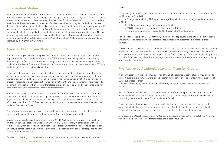### Independent Studies

Independent Studies (IS) are Concentration-level courses that one or more students in Good Academic Standing may design with a tutor to study a specific topic. Students often design an IS to pursue a topic related to their Question, to delve into a key theme of their Touchstone readings, or to conduct in-depth work for their Keystone project. Independent Studies must differ from regularly scheduled courses: they are not a mechanism by which to take a standard course at a different time. A maximum of four IS blocks may be counted toward a student's graduation requirements. IS blocks may be offered only by continuing faculty tutors, and both the student and tutor must be on campus during the block. Normal tuition, fees, scholarships, and bursaries apply. Students submit IS proposals through the Registrar's Office (available on the Portal under Academic/Registrar's Office). All IS proposals are reviewed and approved by the Curriculum Committee.

# Transfer Credit from Other Institutions

Students entering Quest who were previously enrolled at other institutions of higher education may request transfer credit. Students with AP, IB, CEGEP or other advanced high school courses may likewise apply for Quest credit. Students normally cannot receive more than a total of eight courses of credit upon admission. Only four of those may be from advanced high school courses. At least 50% of a student's total credits must be taken at Quest.

The following AP and IB Higher Level exam scores transfer as Foundation Credits, on a sore of 4 or 5 for AP or a 6 or 7 for IB HL:

For a course to transfer, it must be in a discipline, or closely aligned to a discipline, taught at Quest (e.g. a course in marine biology would be acceptable while a course in scuba diving would not, or a course in geology would be acceptable but a course in rock climbing would not). It must have been graded for credit (e.g. a non-credit art course would not count), and the student must have received a high mark in the course, which typically translates to a 'B' or equivalent. Finally, the course must have been at the college level (remedial work is not transferable).

Students must apply for transfer credit from previous institutions by the end of their first term at Quest. Please fill out a Transfer Credit Application Form (available on the Portal under Academic/ Registrar's Office) and submit that form along with course syllabi and/or AP/IB scores (4 or 5 for AP courses; 6 or 7 for IB HL). Transfer credit applications will not be considered after the end of the student's first term at Quest.

Courses generally transfer over as either general elective or concentration electives. In rare cases, a course may be counted for a specific Foundation or Concentration course credit.

Student may appeal to have their original Transfer Credit Application re-reviewed for Foundation credits through the Registrar's Office. The Curriculum Committee may, in consultation with the relevant faculty, may ask for additional evidence (e.g. graded work from the course to be transferred, an essay to demonstrate mastery over the material) to determine if the course corresponds with the relevant Foundation course.

Experiential Learning completed before a student's enrolment at Quest is not accepted as transfer

credit.

• AP Language (excluding AP English Language/English Literature) = Language Requirement fulfilled

- IB HL Language A = Language Requirement fulfilled
- AP/IB HL Biology = credit for What is Life? or for Evolution
- AP Environmental Science = Credit for Biodiversity of British Columbia

For other courses (e.g. AP/IB HL Chemistry, Calculus, Physics), students are awarded elective credit, and are invited to consult with the appropriate faculty regarding placement into more advanced courses.

Only Quest courses will appear on a student's official transcript and be included in the GPA calculation. If transfer credit has been awarded for coursework done elsewhere, only the name of the institution and the number of credits awarded will appear on the Quest transcript. If a student applies to graduate school or for external scholarships, those organizations may require the student to provide a transcript from the other institution(s).

# Pre-Approved Academic Leave for Transfer Credits

With permission from their Faculty Advisor and the Chief Academic Officer a student may take up to eight (8) blocks of academic leave to attend another institution to pursue coursework not available at Quest but related to their

Question—for example, if students need a laboratory course for which Quest does not have the facilities.

No transfer credit will be awarded for coursework that has not been pre-approved. Approval must be obtained no later than three weeks prior to the first day of the course of the anticipated leave, by completing the Academic Leave Form found on the Portal.

During a leave, a student is not considered enrolled at Quest. This may affect the student's full-time status and eligibility for institutional or government aid. Students should check the Federal and Provincial State policies regarding leaves or a break in study before considering a leave.

In no cases shall Quest be responsible for tuition, financial aid or fees at these institutions. Approval will be granted only in cases of demonstrated and exceptional need.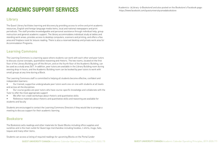# ACADEMIC SUPPORT SERVICES

# Library

The Quest Library facilitates learning and discovery by providing access to online and print academic resources, English and foreign language media items, local and national newspapers and print periodicals. The staff provides knowledgeable and personal assistance through individual help, group instruction and general academic support. The library accommodates individual study at tables and standing work areas; provides access to desktop computers, scanners and printing; and offers a flex area and fireplace nook for leisure reading. There is also a reserved desktop and private work area for Accommodation Programs.

# Learning Commons

The Learning Commons is a learning space where students can work with each other and peer tutors to discuss course concepts, quantitative reasoning and rhetoric. The two rooms, located on the first floor of the Library Building just off the Atrium, and on the fourth floor of the Academic Building, can be used as a study area 24/7. In addition, peer tutors are available in the Library Building room during evening drop-in hours, and the Academic Building room can be booked by peer tutors to work with small groups at any time during a Block.

The Learning Commons staff is committed to helping all students become effective, confident and independent learners:

• Our trained, supportive undergraduate peer tutors work one-on-one with students at all levels and across all the disciplines

• Our course guides are peer tutors who have course-specific knowledge and collaborate with the Tutor to offer the most appropriate support

We offer non-credit workshops about rhetoric and quantitative skills

• Reference materials about rhetoric and quantitative skills and reasoning are available for students and faculty

Students are encouraged to contact the Learning Commons Directors if they would like to arrange a meeting to discuss support for their academic learning.

# Bookstore

The Bookstore sells readings and other materials for Quest Blocks including office supplies and sundries and is the main outlet for Quest logo merchandise including hoodies, t-shirts, mugs, hats, toques and many other items.

Students can access a listing of required readings for upcoming Blocks on the Portal (under

QUEST UNIVERSITY CANADA Academic Calendar Operating Principles, 2019-2020 / 70 QUEST UNIVERSITY CANADA Academic Calendar Operating Principles, 2019-2020 / 71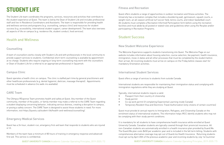# STUDENT LIFE

The Student Life team coordinates the programs, services, resources and activities that contribute to the student experience at Quest. The team is led by the Dean of Student Life and includes professional staff and live-in Residence Coordinators and Assistants. The team is responsible for providing health and wellness services and programs (e.g. counselling, campus clinic) and resources for student success (e.g. accessibility, international student support, career development). The team also oversees all aspects of life on campus (e.g. residence life, student conduct, food services).

# Health and Wellness

### Counselling

A team of counsellors works closely with Student Life and with professionals in the local community to provide support services to students. Confidential short-term counselling is available by appointment at no charge. Students who require ongoing or long-term counselling may work with the counsellors or Dean of Student Life for a referral to an appropriate professional in Squamish.

#### Campus Clinic

Quest operates a health clinic on campus. The clinic is staffed part-time by general practitioners and other healthcare professionals (e.g. dental hygienist, dietician, massage therapist). Appointments must be scheduled in advance (no walk-ins available).

### CARE Team

The CAmpus REsponse Team promotes health and safety at Quest. Any member of the Quest community, member of the public, or family member may make a referral to the CARE Team regarding a student displaying concerning behavior, indicating serious distress, creating a disruption to campus, or posing a safety concern. The CARE Team is designed to assist those students in need. For more information, visit https://questu.ca/student-life/health-and-wellness/counselling/.

- Passport from their country of citizenship
- Study permit
- Co-op work permit (if completing Experiential Learning inside Canada)
- 

### Emergency Medical Services

Quest has a 24-hour, student-run, emergency first-aid team that responds to students who are injured or ill.

Members of the team have a minimum of 80 hours of training in emergency response and advanced first aid. This service is confidential.

QUEST UNIVERSITY CANADA Academic Calendar Operating Principles, 2019-2020 / 72 QUEST UNIVERSITY CANADA Academic Calendar Operating Principles, 2019-2020 / 73

#### Fitness and Recreation

Quest offers students a range of opportunities in outdoor recreation and fitness activities. The University has a recreation complex that includes a bouldering wall, gymnasium, squash courts, a weight room, an all-season artificial turf soccer field, tennis courts, and indoor basketball court. All students must complete a Recreation Informed Participation form before using the recreation facilities and must abide by all posted or stated rules and guidelines when using the Recplex and/or participating in Recreation Programs.

# Student Success

#### New Student Welcome Experience

The Welcome Experience supports students transitioning into Quest. The Welcome Page on our website includes information about housing selection, course selection, fee payment, health insurance, immigration, move-in dates and all other processes that must be completed by the student before their arrival. All incoming students must arrive on campus on the Friday before classes start for mandatory Orientation activities.

#### International Student Services

Quest offers a range of services to students from outside Canada.

International students are responsible for maintaining their immigration status and complying with immigration regulations while they are studying at Quest.

Typically, international students require a valid:

• Temporary Resident Visa and Electronic Travel Authorization (only citizens of certain countries)

Quest must provide bi-annual reports to Immigration, Refugees, and Citizenship Canada on the enrolment status of international students. The information helps IRCC identify students who may not be complying with their study-permit conditions.

It is mandatory for all students to have comprehensive health insurance while enrolled at Quest University Canada. Canadian students are typically covered through their provincial insurance. All non-Canadian students are automatically enrolled in a health insurance plan provided by Guard.Me. The Guard.Me plan costs \$650 per academic year and is included in the fall term billing. Students with comprehensive alternative coverage may opt-out of Guard.me Health Insurance. Returning students must opt out by April 20th of the previous academic year and incoming students by July 1st (summer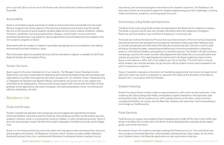prior to arrival). Opt-out forms are on the Portal under Services/Student Life/International Students/ Guard.ME.

#### Accessibility

Quest is committed to equity and strives to create an environment that is accessible from the onset. We also recognize that certain aspects of the learning and physical environment may still provide barriers to the success of some students. Students experiencing chronic medical conditions, mobility limitations, disabilities, learning exceptionalities, allergies, mental health concerns and other protected characteristics may qualify for special adjustments (accommodations) to the academic and non-academic programs at Quest.

Quest works with the student to establish reasonable and appropriate accommodations that address documented functional limitations. Quest

More information about Accessibility Services and how and when to register is available on the Portal. Read the Student Accommodation Policy.

#### Career Services

Quest supports the career development of our students. The Manager, Career Development and Experiential Learning is responsible for developing and maintaining relationships with businesses and organizations to provide meaningful job and career prospects for our students. Career related learning is integrated into Question and Keystone Blocks, and students can access one-to-one support and workshops on an ongoing basis. These services include support with resume and cover letter writing; graduate school applications; job search strategies; interview preparedness; career counselling and advising; networking, and more.

# Residence Life

#### Clubs and Groups

Student-initiated and operated clubs and groups are encouraged and supported by the Quest University Students' Association and the University. Club and group activities include outdoor pursuits, academic interests, social or environmental concerns, hobbies, or other recreational pursuits. Some of the more active groups include The Mark (the student newspaper), the Adventure Club, and the Rugby Club.

Quest is a true living and learning community where learning opportunities exist beyond the classroom and throughout the campus. The Residence Life Team, which consists of student leaders (Resident Assistants) and part-time, live-in professionals (Residence Coordinators) deliver a variety of social,

QUEST UNIVERSITY CANADA Academic Calendar Operating Principles, 2019-2020 / 74 QUEST UNIVERSITY CANADA Academic Calendar Operating Principles, 2019-2020 / 75

educational, and recreational programs that enhance the students' experience. The Residence Life team also function as a first line of support for students experiencing any of life's challenges, including health and wellness, academics, and being away from home.

#### Community Living Guide and Sanctions

The Quest Community Living Guide outlines the expectations that Quest has for students on campus. The Guide is not just a list of rules, but includes information about the residences, Emergency Response, and how students may contribute to keeping our community safe.

The Guide also outlines the Sanction Process that may follow a breach of the Community Living Guide. Educational sanctions are designed to encourage the individual to reflect upon their behaviour and to consider perspectives and information that they did not previously have. Sanctions could include writing an introspective paper, researching and delivering a community presentation, preparing a poster or informational handout, participating in a resolution process, The Student Life staff members overseeing a sanction will create a written report/agreement that details the occurrence/incident and outlines any sanctions. This report/agreement will be sent to the Quest student by means of their Quest e-mail address, a letter with a note added to your file on StarRez. This information is stored within Student Life's records and does not go onto your official student record unless escalated to the point of suspension or expulsion.

Cases of repeated or egregious misconduct are handled by progressively more senior and experienced staff. Such cases may result in suspension or expulsion from Quest at the discretion of the Dean of Student Life, in consultation with the President.

#### Student Housing

Student housing at Quest includes single occupancy bedrooms, with a semi-private washroom, in the residence hall style buildings (the Peaks), and double occupancy bedrooms in the apartment style building (Riverside). All the residences are within walking distance of the other campus facilities, including the RecPlex, the Library, and the Meal Hall. Students self select their room and building online through our StarRez portal.

#### Food Services

Food Services on campus are provided by Dana Hospitality and include 'All You Care to Eat' buffet style dining in the Meal Hall. A small café in the Atrium (Library Building) offers speciality drinks, baked goods, and limited meal items.

All students living in the residence hall style buildings (the Peaks) are on our 'room and board' plan that includes an Unlimited Meal Plan, which provides unlimited dining 7 days a week, for the entire term. Students living in the Riverside apartments can opt to purchase a meal plan.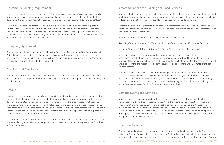#### On-campus Housing Requirement

Living on the campus is an essential aspect of the Quest experience. Quest's residence community provides many social, recreational, and educational activities that greatly contribute to student development. Students are normally required to live in on-campus housing while enrolled at Quest.

Quest may, in certain circumstances, waive this requirement. Students must submit requests in writing to the Coordinator of Campus Services and include supporting documentation. Each request will be considered on a case-by-case basis, weighing the reason for the requirement against the student's reasons for an exemption. Any and all decisions to waive the requirement will be considered exceptions, and conditions may be specified.

#### Occupancy Agreement

Students living in the residences must abide by the Occupancy Agreement and the Community Living Guide. By accepting admission to Quest and the Occupancy Agreement, students agree to reside on campus for the full academic year, unless they are participating in an approved Study Abroad or Experiential Learning Block outside of Squamish.

#### Check-in and Check-out

Students are permitted to move into their residences on the designated check-in day at the start of each term, or block. Students are required to vacate the residences by 12 p.m. on the day following the last day of classes.

#### **Breaks**

Regular campus operations cease between the end of the December Block and the beginning of the January Block (the Winter Break), and students are normally not permitted to remain in the residences during this time. Students seeking permission to remain during the break must submit a request to the Coordinator of Campus Services and include supporting documentation. Each request will be considered on a case-by-case basis. Any and all decisions to waive this requirement will be considered exceptions, and conditions may be specified. Students are not normally permitted to have guests stay in the residences with them during the break.

The residences close at the end of the April Block for the week prior to the beginning of the May Block. Students wishing to remain on the campus during this break must submit a request to the Coordinator of Campus Services

### Accommodations for Housing and Food Services

Students who have a protected characteristic (e.g. mental health concern, medical condition, physical limitation) may request a non-academic accommodation (e.g. accessible housing, access to a kitchen, reduction or exemption of the meal plan) for on-campus housing and meal plans.

Students must submit requests for a non-academic accommodation to Accessibility Services and provide supporting documentation. More information about requesting non-academic accommodations can be found on the Quest Portal.

Requests that pertain to the meal plan should be submitted as follows:

Returning/Enrolled Students: Fall Term, July 1; Spring Term, November 15; Summer Term, April 1

Incoming Students: Fall Term, at time of StarRez profile creation (typically June/July)

Meal plan related requests may be made in tandem with a request for special housing accommodations. In those cases, requests by returning students should be made two weeks in advance of the housing selection deadline (typically early March), to allow Quest to assess the request and, if appropriate and reasonable, place the student in an appropriate unit in advance of the general housing process.

Students seeking non-academic accommodations pertaining to housing and meal plans must submit an Accessibility Services Request Form for each academic year that they wish to receive accommodations. New documentation may not always be required for each request, as previously submitted documentation for permanent, chronic, and ongoing functional limitations typically do not expire from year-to-year. Read the Student Accommodation Policy.

#### Campus Events and Activities

Quest is a lively campus community with many student-coordinated activities including film screenings, charity craft fairs, theatrical productions, the recording and production of music, an international-affairs speaker series, and an active campus garden and beehive. Annual events including the Dancing Bear Music Festival and Cabaret are planned by students and funded by the Quest University Students' Association (QUSA). Any student wishing to organize an on-campus event must apply to the Ancillary Services department and must follow all of Quest's policies, procedures and guidelines if the event is approved.

#### Clubs and Groups

Student-initiated and operated clubs and groups are encouraged and supported by the Quest University Students' Association and the University. Club and group activities include outdoor pursuits, academic interests, social or environmental concerns, hobbies, or other recreational pursuits. Some of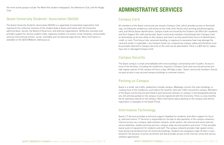the more active groups include The Mark (the student newspaper), the Adventure Club, and the Rugby Club.

# Quest University Students' Association (QUSA)

The Quest University Students' Association (QUSA) is a separately incorporated organization that represents the collective interests of the student body at Quest and liaises with the University administration, faculty, the Board of Governors, and external organizations. QUSA also oversees and provides support for various student clubs, organizes student run events, funds initiatives, and provides services that promote artistic, social, charitable and recreational experiences. More information is available on the QUSA Website: www.qusa.ca.

# ADMINISTRATIVE SERVICES

# Campus Card

All members of the Quest community are issued a Campus Card, which provides access to the buildings, including the residences, and serves as the meal card, library card, printing and photocopying card, and official Quest identification. Campus Cards are issued by the Student Life Office (for students) and Tech Support (for staff and faculty). Quest community members should keep their Campus Card on themselves at all time while on the campus and treat it as they would other forms of identification, credit, or cash. Punching a hole, excessive bending, or exposure to excessive heat may damage the card and render it inoperable. Lost Campus Cards can compromise campus safety and therefore must be promptly reported to Campus Security so the card can be deactivated. There is a \$25 fee for replacing a lost or damaged Campus Card.

# Campus Security

The Quest campus is small and walkable with most buildings connected by well-lit paths. Access to most of the facilities, including the residences, requires a Campus Card, and security personnel provide regular patrols of the campus 24 hours a day, 365 days a year. Quest community members should not give access to any secured campus buildings to unknown visitors.

# Parking on Campus

Quest is a small, low-traffic, pedestrian-friendly campus. Walkways connect the main buildings, including most of the residences, and reduce the need for vehicular traffic around the campus. Members of the Quest community are permitted to park personal vehicles on campus in the designated parking lots. All vehicles parked on the campus must be registered with the University. There is a low monthly fee for parking a vehicle on the campus. More information about parking on the campus and vehicle registration is available on the Quest Portal.

# Information Technology

Quest's IT Services provides a technical support helpdesk for students, and offers support for faculty, staff and visitors. IT Services is responsible for the day-to-day operation of the campus networks, internet access via a campus-wide wireless network, email system, the internal and some external service websites, student printing services, campus-wide security systems and more. IT also provides loaner pools of equipment for students and staff. The campus network provides high-speed connectivity (wired and wireless) from all University buildings. Students are assigned a login ID that is maintained for the duration of active enrolment and that provides access to the internet, email and various software applications.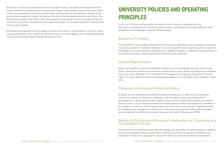Quest uses IT tools to facilitate online access to student records, class data and collaboration information. SelfService allows students to register for classes, review grades, request transcripts, check current account balance, and share pertinent data with their parents and guardians. Moodle serves as a course management system, facilitating information sharing between students and Tutors. The Portal allows students and staff to inform the campus community about events, provide documentation (forms, procedures, and policies), and respond to surveys; it also allows students to request items such as loaner laptops.

A full, List of Policies can be found on the Quest Portal  $\rightarrow$  Home  $\rightarrow$  University Policies. The most up-to-date versions of policies and documents can be found on the Quest Website under Academics on the Catalogue, Calendar & Policies page.

All students are required to bring a laptop to campus that meets or exceeds Quest's minimum performance specifications. Each student should be the sole user of their laptop, which should be protected via a personal software-based firewall and antivirus suite.

# UNIVERSITY POLICIES AND OPERATING PRINCIPLES

# Academic Freedom

The fulfillment of the mandate of Quest University Canada is dependent upon its academic community having the protection of academic freedom. The common good of society depends upon the search for knowledge, and its free exposition and application. Academic freedom is essential to these purposes in the teaching, learning, research and service functions of the University.

# Human Rights Policy

Quest is an academic community dedicated to the pursuit of truth through teaching, research and service. Quest has a profound commitment to every person's value, dignity and potential, and believes these can only be achieved in an environment that recognizes and supports every person's human rights. The Quest Board of Governors developed and adopted a Human Rights Policy, updated in April 2014.

# Personal Information Protection Policy

At Quest, we are committed to providing individuals who belong to or seek to join the academic community, whether as students or employees, with the opportunity to enjoy the benefits of participation in a vibrant and innovative academic environment. Providing this opportunity requires Quest to collect, use and disclose personal information about members and prospective members of this academic community. Protecting such personal information is one of Quest's highest priorities. Accordingly, Quest manages the collection, use and disclosure of personal information using best practices derived from British Columbia's Personal Information Protection Act (PIPA).

#### Notice of Disclosure of Personal Information to Citizenship and Immigration Canada

Citizenship and Immigration Canada requires colleges and universities to report annually on students who are not Canadian citizens or permanent residents, and who are studying at a Canadian postsecondary institution on a study permit. Quest will report on continued enrolment and academic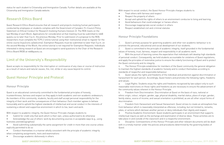status for each student to Citizenship and Immigration Canada. Further details are available at the Citizenship and Immigration Canada website.

# Research Ethics Board

Quest Research Ethics Board ensures that all research and projects involving human participants conducted by employees or students complies with the Government of Canada's Tri-Council Policy Statement on Ethical Conduct for Research Involving Humans (revision 2). The REB meets on the last Monday of each Block. Applications for consideration at that meeting must be submitted to reb@ questu.ca no later than 5 p.m. the previous Monday. Prior to submission of a proposal to the REB, researchers must complete the TCPS 2 online tutorial using their institutional email to register for the online course (tcps2core.ca/welcome). Exemption Requests must be submitted no later than 5 p.m. on the second Monday of the Block; the online tutorial is not required for Exemption Requests. Individuals interested in doing research at Quest are encouraged to send questions to the Chair of the Research Ethics Board (REB) at reb@questu.ca.

# Limit of the University's Responsibility

- Submit for credit only that work which is their own, unless authorized to do otherwise
- Acknowledge the use of others' work by documenting sources in acceptable ways (e.g., using footnotes and bibliographies)
- Avoid submitting substantially the same assignment for credit in more than one course unless explicitly permitted to do so
- Conduct themselves in a manner wholly consistent with the principle of academic integrity when completing assignments, tests and examinations
- Discourage academic dishonesty in others

Quest accepts no responsibility for the interruption or continuance of any class or course of instruction as a result of nature and natural causes, fire, riot, strike or any cause beyond its control.

- Treat others with fairness and respect
- Respect the property of others
- 
- Avoid behaviours that could endanger or harass others
- Discourage inappropriate social conduct in others
- Respect established civil and criminal statutes

# Quest Honour Principle and Protocol

#### Honour Principle

Quest is an educational community committed to the fundamental principles of honesty, trustworthiness, fairness and respect as they apply to both academic and non-academic endeavours. As members of this community, students, faculty and staff accept personal responsibility for the integrity of their work and the consequences of their behaviour. Each member agrees to behave honourably and to uphold the highest standards of intellectual and social conduct in the interests of sustaining a vibrant and supportive environment in which to live, learn and work.

With respect to academic integrity, the Quest Honour Principle charges students to:

With respect to social conduct, the Quest Honour Principle charges students to:

• Accept and uphold the rights of others to an environment conducive to living and learning

#### Honour Principle Foundations

1. Quest's primary purpose for governing academic and other non-academic behaviour is to promote the personal, educational and social development of our students. 2. Quest is committed to the principle of academic integrity, itself grounded in the fundamental values of honesty, trust, fairness, respect and responsibility in all academic work. 3. With the pursuit of learning comes the expectation that individuals will develop high standards of personal conduct. Consequently, we hold students accountable for violations of Quest regulations, and apply the principles of restorative justice to ensure the orderly functioning of Quest and to protect

the Quest community and its integrity.

4. The Honour Principle establishes for members of the Quest community the general obligation to maintain the highest standards of academic honesty and to conduct themselves according to standards of respectful and responsible behaviour.

5. Quest values the rights and freedoms of the individual and protection against discrimination or harassment for each person. Accordingly, Quest fosters and promotes the following rights, freedoms and values:

a. Legal Rights: Students enjoy the rights and freedoms recognized by law subject only to such reasonable restrictions on those rights and freedoms as are necessary to ensure the advancement of the community values inherent in the Honour Principle.

b. Freedom from Discrimination: Discrimination at Quest on the basis of race, national or ethnic origin, colour, religion, gender, age, physical disability, marital status, place of origin, gender, family status, source of income, and sexual orientation is prohibited, as are all other unjust forms of discrimination.

c. Freedom from Harassment and Sexual Harassment: Quest strives to create an atmosphere free from behaviour which is reasonably interpreted as offensive, including, but not limited to, remarks, jokes, or actions which demean another person or deny individuals their dignity and respect.

d. Positive Academic Environment: Quest students participate in an environment that supports intellectual inquiry as well as the exchange and examination of diverse ideas. These activities are to take place in and outside of the classroom and in a respectful environment.

e. Discipline: Contraventions of this Honour Principle and other relevant documents will be dealt with in a timely manner under the policies and procedures determined by the governing bodies of Quest.